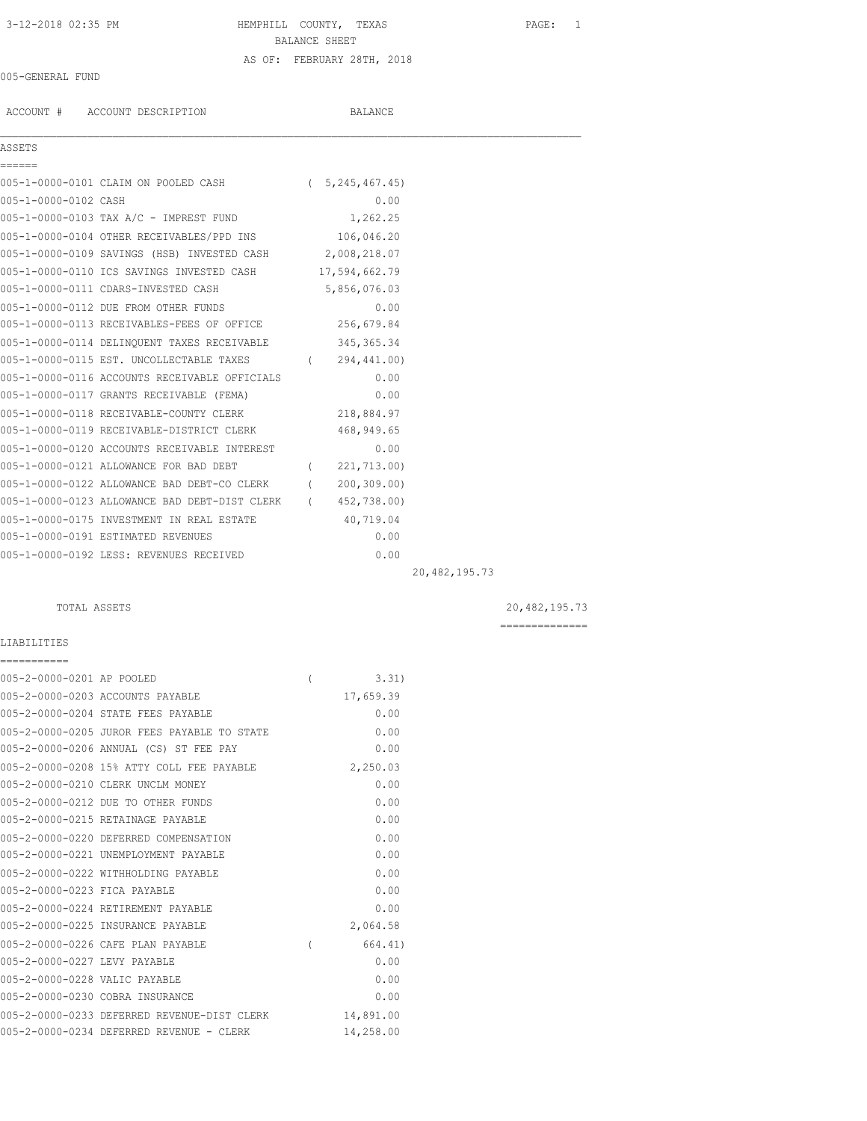# 3-12-2018 02:35 PM HEMPHILL COUNTY, TEXAS PAGE: 1 BALANCE SHEET AS OF: FEBRUARY 28TH, 2018

## 005-GENERAL FUND

ACCOUNT # ACCOUNT DESCRIPTION BALANCE

## ASSETS

 $\mathcal{L}_\mathcal{L} = \mathcal{L}_\mathcal{L}$ 

|                      | 005-1-0000-0101 CLAIM ON POOLED CASH        | 5, 245, 467, 45 |
|----------------------|---------------------------------------------|-----------------|
| 005-1-0000-0102 CASH |                                             | 0.00            |
|                      | 005-1-0000-0103 TAX A/C - IMPREST FUND      | 1,262.25        |
|                      | 005-1-0000-0104 OTHER RECEIVABLES/PPD INS   | 106,046.20      |
|                      | 005-1-0000-0109 SAVINGS (HSB) INVESTED CASH | 2,008,218.07    |
|                      | 005-1-0000-0110 ICS SAVINGS INVESTED CASH   | 17,594,662.79   |
|                      | 005-1-0000-0111 CDARS-INVESTED CASH         | 5,856,076.03    |

| 005-1-0000-0112 DUE FROM OTHER FUNDS          | 0.00         |  |
|-----------------------------------------------|--------------|--|
| 005-1-0000-0113 RECEIVABLES-FEES OF OFFICE    | 256,679.84   |  |
| 005-1-0000-0114 DELINQUENT TAXES RECEIVABLE   | 345, 365. 34 |  |
| 005-1-0000-0115 EST. UNCOLLECTABLE TAXES      | 294,441.00)  |  |
| 005-1-0000-0116 ACCOUNTS RECEIVABLE OFFICIALS | 0.00         |  |
| 005-1-0000-0117 GRANTS RECEIVABLE (FEMA)      | 0.00         |  |
| 005-1-0000-0118 RECEIVABLE-COUNTY CLERK       | 218,884.97   |  |
| 005-1-0000-0119 RECEIVABLE-DISTRICT CLERK     | 468,949.65   |  |
| 005-1-0000-0120 ACCOUNTS RECEIVABLE INTEREST  | 0.00         |  |
| 005-1-0000-0121 ALLOWANCE FOR BAD DEBT        | 221, 713.00  |  |
| 005-1-0000-0122 ALLOWANCE BAD DEBT-CO CLERK   | 200, 309.00  |  |
| 005-1-0000-0123 ALLOWANCE BAD DEBT-DIST CLERK | 452,738.00)  |  |
| 005-1-0000-0175 INVESTMENT IN REAL ESTATE     | 40,719.04    |  |
| 005-1-0000-0191 ESTIMATED REVENUES            | 0.00         |  |
| 005-1-0000-0192 LESS: REVENUES RECEIVED       | 0.00         |  |

20,482,195.73

## TOTAL ASSETS 20,482,195.73

==============

## LIABILITIES ===========

| 005-2-0000-0201 AP POOLED     |                                             | 3.31      |
|-------------------------------|---------------------------------------------|-----------|
|                               | 005-2-0000-0203 ACCOUNTS PAYABLE            | 17,659.39 |
|                               | 005-2-0000-0204 STATE FEES PAYABLE          | 0.00      |
|                               | 005-2-0000-0205 JUROR FEES PAYABLE TO STATE | 0.00      |
|                               | 005-2-0000-0206 ANNUAL (CS) ST FEE PAY      | 0.00      |
|                               | 005-2-0000-0208 15% ATTY COLL FEE PAYABLE   | 2,250.03  |
|                               | 005-2-0000-0210 CLERK UNCLM MONEY           | 0.00      |
|                               | 005-2-0000-0212 DUE TO OTHER FUNDS          | 0.00      |
|                               | 005-2-0000-0215 RETAINAGE PAYABLE           | 0.00      |
|                               | 005-2-0000-0220 DEFERRED COMPENSATION       | 0.00      |
|                               | 005-2-0000-0221 UNEMPLOYMENT PAYABLE        | 0.00      |
|                               | 005-2-0000-0222 WITHHOLDING PAYABLE         | 0.00      |
| 005-2-0000-0223 FICA PAYABLE  |                                             | 0.00      |
|                               | 005-2-0000-0224 RETIREMENT PAYABLE          | 0.00      |
|                               | 005-2-0000-0225 INSURANCE PAYABLE           | 2,064.58  |
|                               | 005-2-0000-0226 CAFE PLAN PAYABLE           | 664.41)   |
| 005-2-0000-0227 LEVY PAYABLE  |                                             | 0.00      |
| 005-2-0000-0228 VALIC PAYABLE |                                             | 0.00      |
|                               | 005-2-0000-0230 COBRA INSURANCE             | 0.00      |
|                               | 005-2-0000-0233 DEFERRED REVENUE-DIST CLERK | 14,891.00 |
|                               | 005-2-0000-0234 DEFERRED REVENUE - CLERK    | 14,258.00 |
|                               |                                             |           |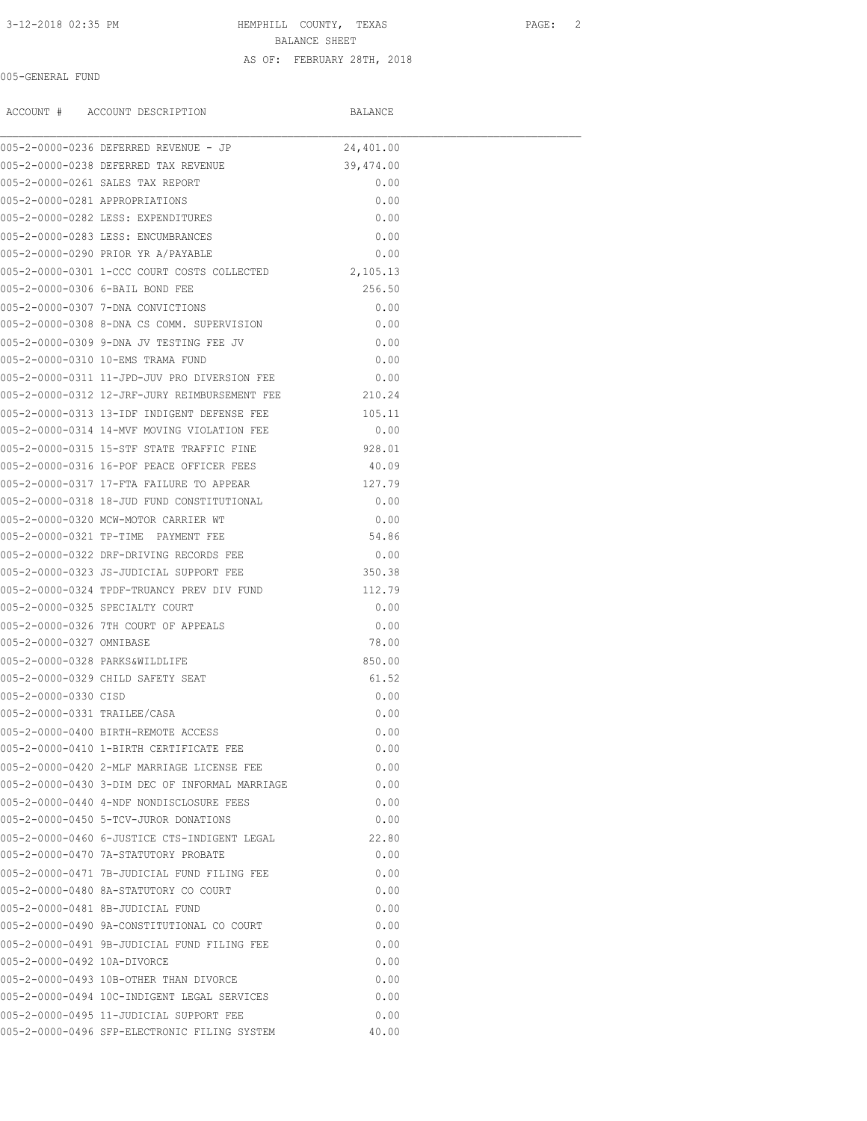#### 3-12-2018 02:35 PM HEMPHILL COUNTY, TEXAS PAGE: 2

BALANCE SHEET

#### AS OF: FEBRUARY 28TH, 2018

## 005-GENERAL FUND

|                                | ACCOUNT # ACCOUNT DESCRIPTION                        | BALANCE   |  |
|--------------------------------|------------------------------------------------------|-----------|--|
|                                | 005-2-0000-0236 DEFERRED REVENUE - JP                | 24,401.00 |  |
|                                | 005-2-0000-0238 DEFERRED TAX REVENUE                 | 39,474.00 |  |
|                                | 005-2-0000-0261 SALES TAX REPORT                     | 0.00      |  |
| 005-2-0000-0281 APPROPRIATIONS |                                                      | 0.00      |  |
|                                | 005-2-0000-0282 LESS: EXPENDITURES                   | 0.00      |  |
|                                | 005-2-0000-0283 LESS: ENCUMBRANCES                   | 0.00      |  |
|                                | 005-2-0000-0290 PRIOR YR A/PAYABLE                   | 0.00      |  |
|                                | 005-2-0000-0301 1-CCC COURT COSTS COLLECTED          | 2,105.13  |  |
|                                | 005-2-0000-0306 6-BAIL BOND FEE                      | 256.50    |  |
|                                | 005-2-0000-0307 7-DNA CONVICTIONS                    | 0.00      |  |
|                                | 005-2-0000-0308 8-DNA CS COMM. SUPERVISION           | 0.00      |  |
|                                | 005-2-0000-0309 9-DNA JV TESTING FEE JV              | 0.00      |  |
|                                | 005-2-0000-0310 10-EMS TRAMA FUND                    | 0.00      |  |
|                                | 005-2-0000-0311 11-JPD-JUV PRO DIVERSION FEE         | 0.00      |  |
|                                | 005-2-0000-0312 12-JRF-JURY REIMBURSEMENT FEE 210.24 |           |  |
|                                | 005-2-0000-0313 13-TDF INDIGENT DEFENSE FEE          | 105.11    |  |
|                                | 005-2-0000-0314 14-MVF MOVING VIOLATION FEE          | 0.00      |  |
|                                | 005-2-0000-0315 15-STF STATE TRAFFIC FINE            | 928.01    |  |
|                                | 005-2-0000-0316 16-POF PEACE OFFICER FEES            | 40.09     |  |
|                                | 005-2-0000-0317 17-FTA FAILURE TO APPEAR             | 127.79    |  |
|                                | 005-2-0000-0318 18-JUD FUND CONSTITUTIONAL           | 0.00      |  |
|                                | 005-2-0000-0320 MCW-MOTOR CARRIER WT                 | 0.00      |  |
|                                | 005-2-0000-0321 TP-TIME PAYMENT FEE                  | 54.86     |  |
|                                | 005-2-0000-0322 DRF-DRIVING RECORDS FEE              | 0.00      |  |
|                                | 005-2-0000-0323 JS-JUDICIAL SUPPORT FEE              | 350.38    |  |
|                                | 005-2-0000-0324 TPDF-TRUANCY PREV DIV FUND           | 112.79    |  |
|                                | 005-2-0000-0325 SPECIALTY COURT                      | 0.00      |  |
|                                | 005-2-0000-0326 7TH COURT OF APPEALS                 | 0.00      |  |
| 005-2-0000-0327 OMNIBASE       |                                                      | 78.00     |  |
|                                | 005-2-0000-0328 PARKS&WILDLIFE                       | 850.00    |  |
|                                | 005-2-0000-0329 CHILD SAFETY SEAT                    | 61.52     |  |
| 005-2-0000-0330 CISD           |                                                      | 0.00      |  |
| 005-2-0000-0331 TRAILEE/CASA   |                                                      | 0.00      |  |
|                                | 005-2-0000-0400 BIRTH-REMOTE ACCESS                  | 0.00      |  |
|                                | 005-2-0000-0410 1-BIRTH CERTIFICATE FEE              | 0.00      |  |
|                                | 005-2-0000-0420 2-MLF MARRIAGE LICENSE FEE           | 0.00      |  |
|                                | 005-2-0000-0430 3-DIM DEC OF INFORMAL MARRIAGE       | 0.00      |  |
|                                | 005-2-0000-0440 4-NDF NONDISCLOSURE FEES             | 0.00      |  |
|                                | 005-2-0000-0450 5-TCV-JUROR DONATIONS                | 0.00      |  |
|                                | 005-2-0000-0460 6-JUSTICE CTS-INDIGENT LEGAL         | 22.80     |  |
|                                | 005-2-0000-0470 7A-STATUTORY PROBATE                 | 0.00      |  |
|                                | 005-2-0000-0471 7B-JUDICIAL FUND FILING FEE          | 0.00      |  |
|                                | 005-2-0000-0480 8A-STATUTORY CO COURT                | 0.00      |  |
|                                | 005-2-0000-0481 8B-JUDICIAL FUND                     | 0.00      |  |
|                                | 005-2-0000-0490 9A-CONSTITUTIONAL CO COURT           | 0.00      |  |
|                                | 005-2-0000-0491 9B-JUDICIAL FUND FILING FEE          | 0.00      |  |
| 005-2-0000-0492 10A-DIVORCE    |                                                      | 0.00      |  |
|                                | 005-2-0000-0493 10B-OTHER THAN DIVORCE               | 0.00      |  |
|                                | 005-2-0000-0494 10C-INDIGENT LEGAL SERVICES          | 0.00      |  |
|                                | 005-2-0000-0495 11-JUDICIAL SUPPORT FEE              | 0.00      |  |
|                                | 005-2-0000-0496 SFP-ELECTRONIC FILING SYSTEM         | 40.00     |  |
|                                |                                                      |           |  |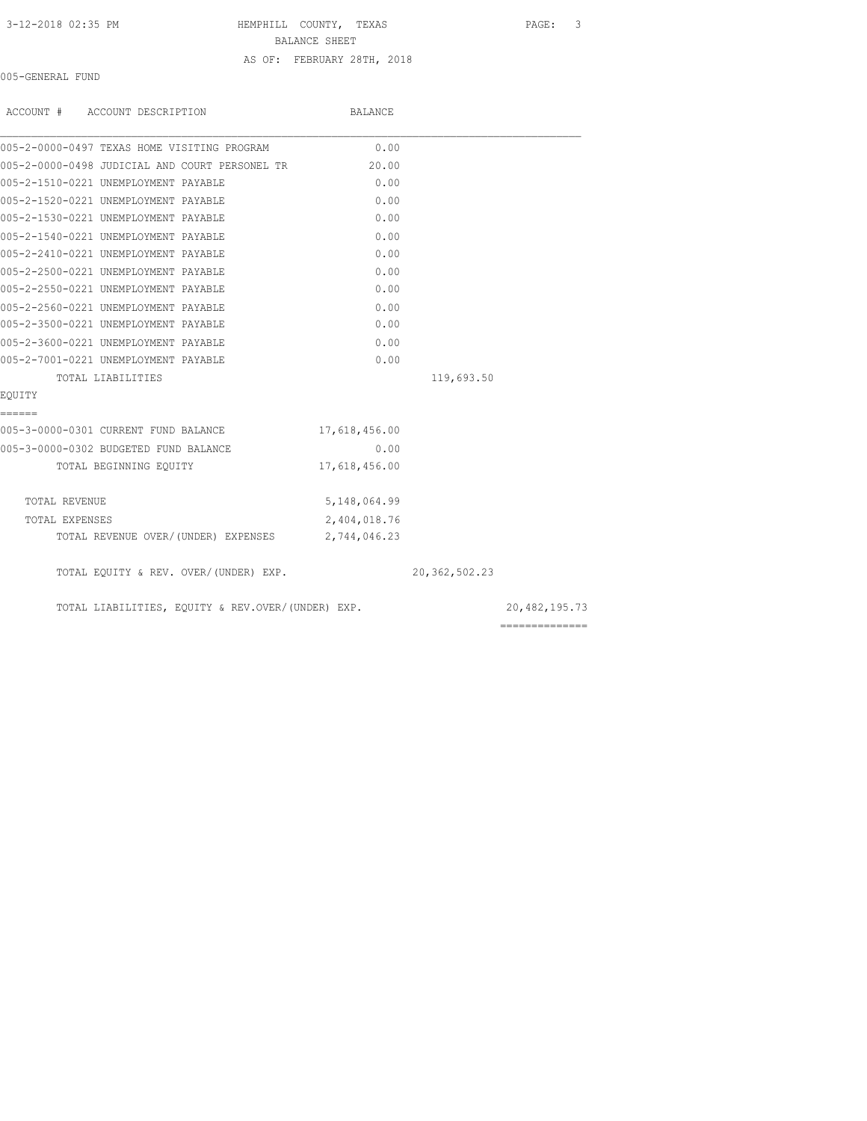#### 3-12-2018 02:35 PM HEMPHILL COUNTY, TEXAS PAGE: 3

BALANCE SHEET

#### AS OF: FEBRUARY 28TH, 2018

005-GENERAL FUND

| ACCOUNT # ACCOUNT DESCRIPTION                     | BALANCE       |               |               |
|---------------------------------------------------|---------------|---------------|---------------|
| 005-2-0000-0497 TEXAS HOME VISITING PROGRAM       | 0.00          |               |               |
| 005-2-0000-0498 JUDICIAL AND COURT PERSONEL TR    | 20.00         |               |               |
| 005-2-1510-0221 UNEMPLOYMENT PAYABLE              | 0.00          |               |               |
| 005-2-1520-0221 UNEMPLOYMENT PAYABLE              | 0.00          |               |               |
| 005-2-1530-0221 UNEMPLOYMENT PAYABLE              | 0.00          |               |               |
| 005-2-1540-0221 UNEMPLOYMENT PAYABLE              | 0.00          |               |               |
| 005-2-2410-0221 UNEMPLOYMENT PAYABLE              | 0.00          |               |               |
| 005-2-2500-0221 UNEMPLOYMENT PAYABLE              | 0.00          |               |               |
| 005-2-2550-0221 UNEMPLOYMENT PAYABLE              | 0.00          |               |               |
| 005-2-2560-0221 UNEMPLOYMENT PAYABLE              | 0.00          |               |               |
| 005-2-3500-0221 UNEMPLOYMENT PAYABLE              | 0.00          |               |               |
| 005-2-3600-0221 UNEMPLOYMENT PAYABLE              | 0.00          |               |               |
| 005-2-7001-0221 UNEMPLOYMENT PAYABLE              | 0.00          |               |               |
| TOTAL LIABILITIES                                 |               | 119,693.50    |               |
| EQUITY                                            |               |               |               |
| ======                                            |               |               |               |
| 005-3-0000-0301 CURRENT FUND BALANCE              | 17,618,456.00 |               |               |
| 005-3-0000-0302 BUDGETED FUND BALANCE             | 0.00          |               |               |
| TOTAL BEGINNING EQUITY                            | 17,618,456.00 |               |               |
| TOTAL REVENUE                                     | 5,148,064.99  |               |               |
| TOTAL EXPENSES                                    | 2,404,018.76  |               |               |
| TOTAL REVENUE OVER/(UNDER) EXPENSES 2,744,046.23  |               |               |               |
| TOTAL EQUITY & REV. OVER/(UNDER) EXP.             |               | 20,362,502.23 |               |
| TOTAL LIABILITIES, EQUITY & REV.OVER/(UNDER) EXP. |               |               | 20,482,195.73 |
|                                                   |               |               |               |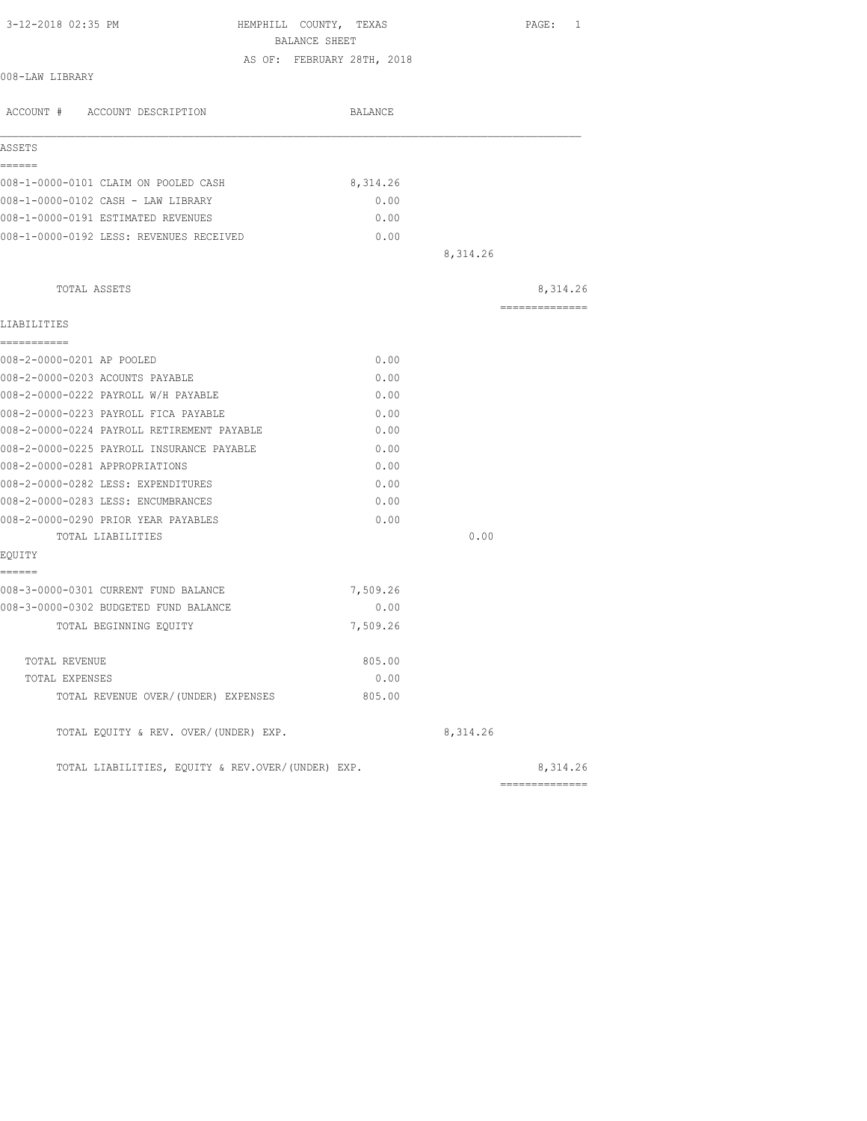| 3-12-2018 02:35 PM<br>HEMPHILL COUNTY, TEXAS<br>BALANCE SHEET |                            |          | PAGE: 1                                                                                                                                                                                                                                                                                                                                                                                                                                                                                |
|---------------------------------------------------------------|----------------------------|----------|----------------------------------------------------------------------------------------------------------------------------------------------------------------------------------------------------------------------------------------------------------------------------------------------------------------------------------------------------------------------------------------------------------------------------------------------------------------------------------------|
|                                                               | AS OF: FEBRUARY 28TH, 2018 |          |                                                                                                                                                                                                                                                                                                                                                                                                                                                                                        |
| 008-LAW LIBRARY                                               |                            |          |                                                                                                                                                                                                                                                                                                                                                                                                                                                                                        |
| ACCOUNT # ACCOUNT DESCRIPTION                                 | BALANCE                    |          |                                                                                                                                                                                                                                                                                                                                                                                                                                                                                        |
| ASSETS                                                        |                            |          |                                                                                                                                                                                                                                                                                                                                                                                                                                                                                        |
| ======                                                        |                            |          |                                                                                                                                                                                                                                                                                                                                                                                                                                                                                        |
| 008-1-0000-0101 CLAIM ON POOLED CASH                          | 8,314.26                   |          |                                                                                                                                                                                                                                                                                                                                                                                                                                                                                        |
| 008-1-0000-0102 CASH - LAW LIBRARY                            | 0.00                       |          |                                                                                                                                                                                                                                                                                                                                                                                                                                                                                        |
| 008-1-0000-0191 ESTIMATED REVENUES                            | 0.00                       |          |                                                                                                                                                                                                                                                                                                                                                                                                                                                                                        |
| 008-1-0000-0192 LESS: REVENUES RECEIVED                       | 0.00                       |          |                                                                                                                                                                                                                                                                                                                                                                                                                                                                                        |
|                                                               |                            | 8,314.26 |                                                                                                                                                                                                                                                                                                                                                                                                                                                                                        |
| TOTAL ASSETS                                                  |                            |          | 8,314.26                                                                                                                                                                                                                                                                                                                                                                                                                                                                               |
| LIABILITIES                                                   |                            |          | $\begin{array}{cccccccccccccc} \multicolumn{2}{c}{} & \multicolumn{2}{c}{} & \multicolumn{2}{c}{} & \multicolumn{2}{c}{} & \multicolumn{2}{c}{} & \multicolumn{2}{c}{} & \multicolumn{2}{c}{} & \multicolumn{2}{c}{} & \multicolumn{2}{c}{} & \multicolumn{2}{c}{} & \multicolumn{2}{c}{} & \multicolumn{2}{c}{} & \multicolumn{2}{c}{} & \multicolumn{2}{c}{} & \multicolumn{2}{c}{} & \multicolumn{2}{c}{} & \multicolumn{2}{c}{} & \multicolumn{2}{c}{} & \multicolumn{2}{c}{} & \$ |
| -----------                                                   |                            |          |                                                                                                                                                                                                                                                                                                                                                                                                                                                                                        |
| 008-2-0000-0201 AP POOLED                                     | 0.00                       |          |                                                                                                                                                                                                                                                                                                                                                                                                                                                                                        |
| 008-2-0000-0203 ACOUNTS PAYABLE                               | 0.00                       |          |                                                                                                                                                                                                                                                                                                                                                                                                                                                                                        |
| 008-2-0000-0222 PAYROLL W/H PAYABLE                           | 0.00                       |          |                                                                                                                                                                                                                                                                                                                                                                                                                                                                                        |
| 008-2-0000-0223 PAYROLL FICA PAYABLE                          | 0.00                       |          |                                                                                                                                                                                                                                                                                                                                                                                                                                                                                        |
| 008-2-0000-0224 PAYROLL RETIREMENT PAYABLE                    | 0.00                       |          |                                                                                                                                                                                                                                                                                                                                                                                                                                                                                        |
| 008-2-0000-0225 PAYROLL INSURANCE PAYABLE                     | 0.00                       |          |                                                                                                                                                                                                                                                                                                                                                                                                                                                                                        |
| 008-2-0000-0281 APPROPRIATIONS                                | 0.00                       |          |                                                                                                                                                                                                                                                                                                                                                                                                                                                                                        |
| 008-2-0000-0282 LESS: EXPENDITURES                            | 0.00                       |          |                                                                                                                                                                                                                                                                                                                                                                                                                                                                                        |
| 008-2-0000-0283 LESS: ENCUMBRANCES                            | 0.00                       |          |                                                                                                                                                                                                                                                                                                                                                                                                                                                                                        |
| 008-2-0000-0290 PRIOR YEAR PAYABLES                           | 0.00                       |          |                                                                                                                                                                                                                                                                                                                                                                                                                                                                                        |
| TOTAL LIABILITIES                                             |                            | 0.00     |                                                                                                                                                                                                                                                                                                                                                                                                                                                                                        |
| EQUITY                                                        |                            |          |                                                                                                                                                                                                                                                                                                                                                                                                                                                                                        |
| ======<br>008-3-0000-0301 CURRENT FUND BALANCE                | 7,509.26                   |          |                                                                                                                                                                                                                                                                                                                                                                                                                                                                                        |
| 008-3-0000-0302 BUDGETED FUND BALANCE                         | 0.00                       |          |                                                                                                                                                                                                                                                                                                                                                                                                                                                                                        |
| TOTAL BEGINNING EQUITY                                        | 7,509.26                   |          |                                                                                                                                                                                                                                                                                                                                                                                                                                                                                        |
|                                                               |                            |          |                                                                                                                                                                                                                                                                                                                                                                                                                                                                                        |
| TOTAL REVENUE                                                 | 805.00                     |          |                                                                                                                                                                                                                                                                                                                                                                                                                                                                                        |
| TOTAL EXPENSES                                                | 0.00                       |          |                                                                                                                                                                                                                                                                                                                                                                                                                                                                                        |
| TOTAL REVENUE OVER/(UNDER) EXPENSES                           | 805.00                     |          |                                                                                                                                                                                                                                                                                                                                                                                                                                                                                        |
| TOTAL EQUITY & REV. OVER/(UNDER) EXP.                         |                            | 8,314.26 |                                                                                                                                                                                                                                                                                                                                                                                                                                                                                        |
| TOTAL LIABILITIES, EQUITY & REV.OVER/(UNDER) EXP.             |                            |          | 8,314.26                                                                                                                                                                                                                                                                                                                                                                                                                                                                               |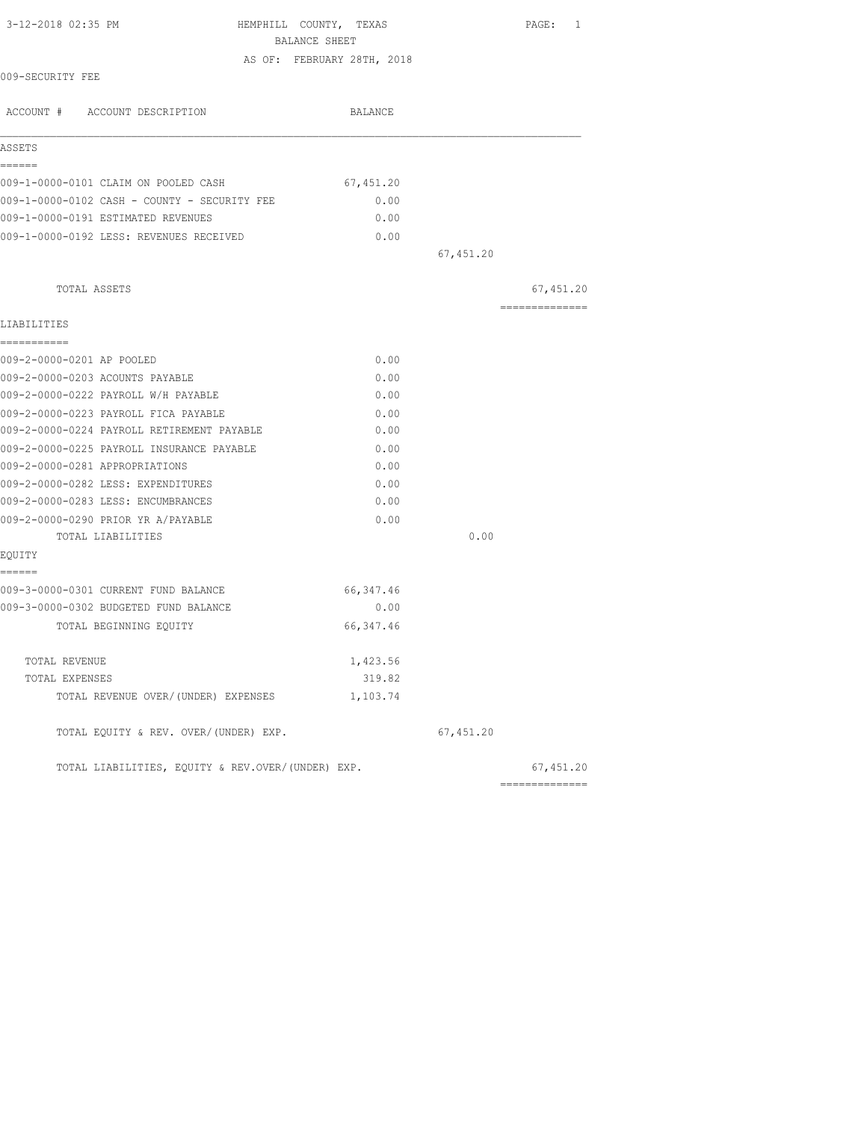| 3-12-2018 02:35 PM<br>HEMPHILL COUNTY, TEXAS      | BALANCE SHEET              |           | PAGE: 1        |
|---------------------------------------------------|----------------------------|-----------|----------------|
|                                                   | AS OF: FEBRUARY 28TH, 2018 |           |                |
| 009-SECURITY FEE                                  |                            |           |                |
| ACCOUNT # ACCOUNT DESCRIPTION                     | BALANCE                    |           |                |
| ASSETS                                            |                            |           |                |
| ------                                            |                            |           |                |
| 009-1-0000-0101 CLAIM ON POOLED CASH              | 67,451.20                  |           |                |
| 009-1-0000-0102 CASH - COUNTY - SECURITY FEE      | 0.00                       |           |                |
| 009-1-0000-0191 ESTIMATED REVENUES                | 0.00                       |           |                |
| 009-1-0000-0192 LESS: REVENUES RECEIVED           | 0.00                       |           |                |
|                                                   |                            | 67,451.20 |                |
| TOTAL ASSETS                                      |                            |           | 67,451.20      |
| LIABILITIES                                       |                            |           | -------------- |
| ------------                                      |                            |           |                |
| 009-2-0000-0201 AP POOLED                         | 0.00                       |           |                |
| 009-2-0000-0203 ACOUNTS PAYABLE                   | 0.00                       |           |                |
| 009-2-0000-0222 PAYROLL W/H PAYABLE               | 0.00                       |           |                |
| 009-2-0000-0223 PAYROLL FICA PAYABLE              | 0.00                       |           |                |
| 009-2-0000-0224 PAYROLL RETIREMENT PAYABLE        | 0.00                       |           |                |
| 009-2-0000-0225 PAYROLL INSURANCE PAYABLE         | 0.00                       |           |                |
| 009-2-0000-0281 APPROPRIATIONS                    | 0.00                       |           |                |
| 009-2-0000-0282 LESS: EXPENDITURES                | 0.00                       |           |                |
| 009-2-0000-0283 LESS: ENCUMBRANCES                | 0.00                       |           |                |
| 009-2-0000-0290 PRIOR YR A/PAYABLE                | 0.00                       |           |                |
| TOTAL LIABILITIES                                 |                            | 0.00      |                |
| EQUITY<br>======                                  |                            |           |                |
| 009-3-0000-0301 CURRENT FUND BALANCE              | 66, 347.46                 |           |                |
| 009-3-0000-0302 BUDGETED FUND BALANCE             | 0.00                       |           |                |
| TOTAL BEGINNING EQUITY                            | 66, 347.46                 |           |                |
| TOTAL REVENUE                                     | 1,423.56                   |           |                |
| TOTAL EXPENSES                                    | 319.82                     |           |                |
| TOTAL REVENUE OVER/(UNDER) EXPENSES               | 1,103.74                   |           |                |
| TOTAL EQUITY & REV. OVER/(UNDER) EXP.             |                            | 67,451.20 |                |
| TOTAL LIABILITIES, EQUITY & REV.OVER/(UNDER) EXP. |                            |           | 67,451.20      |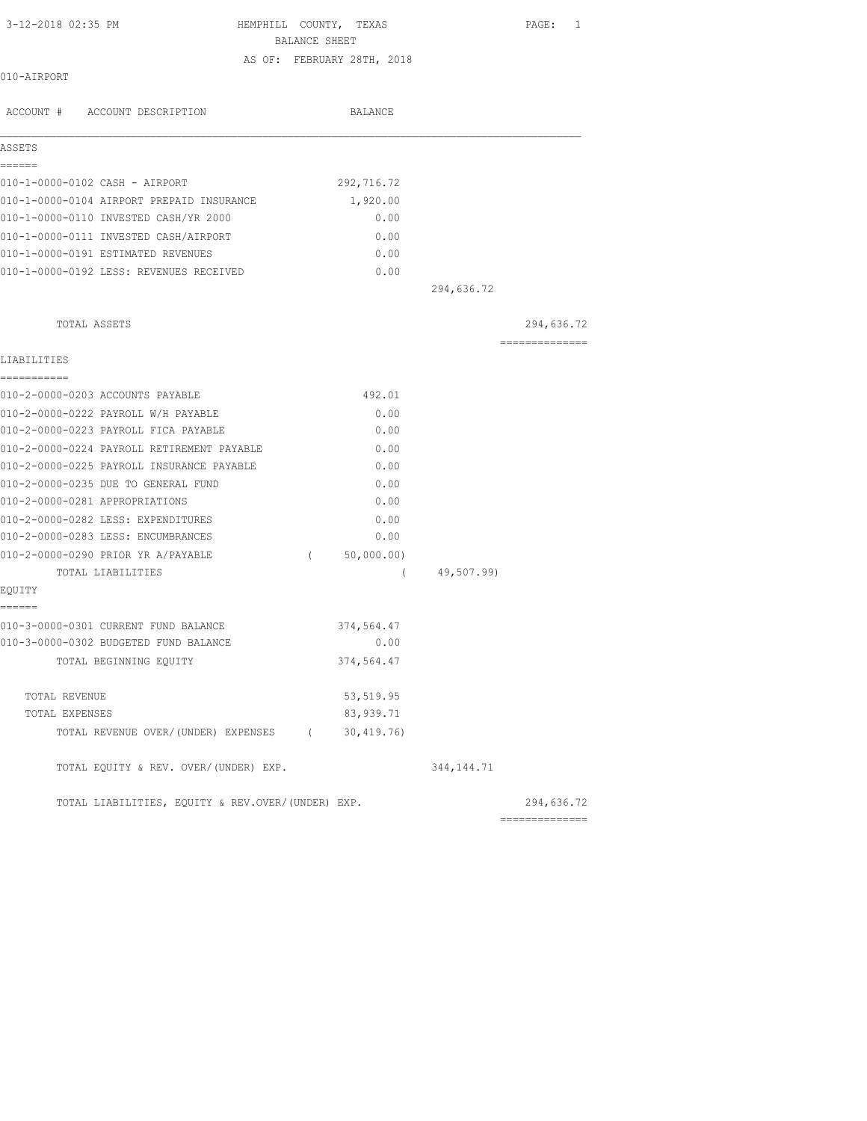HEMPHILL COUNTY, TEXAS PAGE: 1 BALANCE SHEET

AS OF: FEBRUARY 28TH, 2018

| ACCOUNT # ACCOUNT DESCRIPTION                     |          | BALANCE    |              |                 |
|---------------------------------------------------|----------|------------|--------------|-----------------|
| ASSETS                                            |          |            |              |                 |
| ------                                            |          |            |              |                 |
| 010-1-0000-0102 CASH - AIRPORT                    |          | 292,716.72 |              |                 |
| 010-1-0000-0104 AIRPORT PREPAID INSURANCE         |          | 1,920.00   |              |                 |
| 010-1-0000-0110 INVESTED CASH/YR 2000             |          | 0.00       |              |                 |
| 010-1-0000-0111 INVESTED CASH/AIRPORT             |          | 0.00       |              |                 |
| 010-1-0000-0191 ESTIMATED REVENUES                |          | 0.00       |              |                 |
| 010-1-0000-0192 LESS: REVENUES RECEIVED           |          | 0.00       |              |                 |
|                                                   |          |            | 294,636.72   |                 |
| TOTAL ASSETS                                      |          |            |              | 294,636.72      |
| LIABILITIES                                       |          |            |              | --------------- |
| ===========                                       |          |            |              |                 |
| 010-2-0000-0203 ACCOUNTS PAYABLE                  |          | 492.01     |              |                 |
| 010-2-0000-0222 PAYROLL W/H PAYABLE               |          | 0.00       |              |                 |
| 010-2-0000-0223 PAYROLL FICA PAYABLE              |          | 0.00       |              |                 |
| 010-2-0000-0224 PAYROLL RETIREMENT PAYABLE        |          | 0.00       |              |                 |
| 010-2-0000-0225 PAYROLL INSURANCE PAYABLE         |          | 0.00       |              |                 |
| 010-2-0000-0235 DUE TO GENERAL FUND               |          | 0.00       |              |                 |
| 010-2-0000-0281 APPROPRIATIONS                    |          | 0.00       |              |                 |
| 010-2-0000-0282 LESS: EXPENDITURES                |          | 0.00       |              |                 |
| 010-2-0000-0283 LESS: ENCUMBRANCES                |          | 0.00       |              |                 |
| 010-2-0000-0290 PRIOR YR A/PAYABLE                | $\left($ | 50,000.00) |              |                 |
| TOTAL LIABILITIES                                 |          | $\left($   | 49,507.99)   |                 |
| EOUITY<br>======                                  |          |            |              |                 |
| 010-3-0000-0301 CURRENT FUND BALANCE              |          | 374,564.47 |              |                 |
| 010-3-0000-0302 BUDGETED FUND BALANCE             |          | 0.00       |              |                 |
| TOTAL BEGINNING EQUITY                            |          | 374,564.47 |              |                 |
| TOTAL REVENUE                                     |          | 53, 519.95 |              |                 |
| TOTAL EXPENSES                                    |          | 83,939.71  |              |                 |
| TOTAL REVENUE OVER/(UNDER) EXPENSES (             |          | 30, 419.76 |              |                 |
| TOTAL EQUITY & REV. OVER/(UNDER) EXP.             |          |            | 344, 144. 71 |                 |
| TOTAL LIABILITIES, EQUITY & REV.OVER/(UNDER) EXP. |          |            |              | 294,636.72      |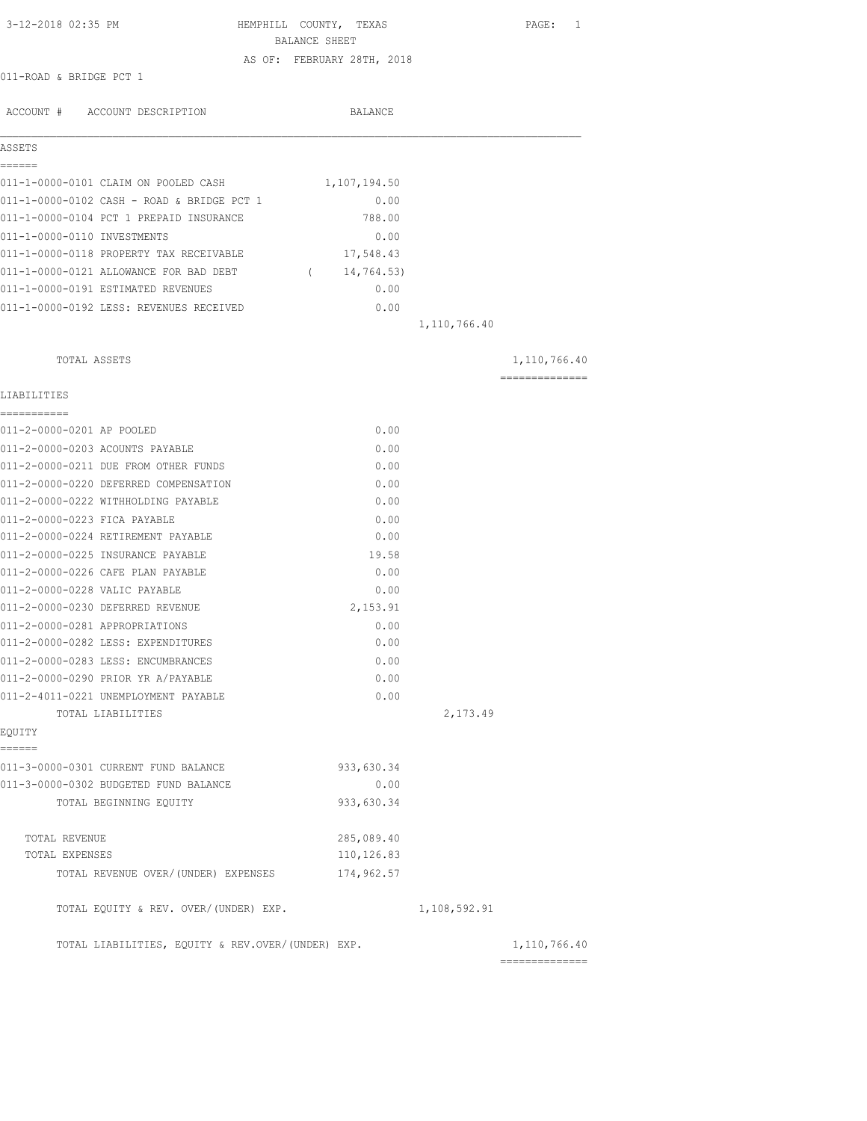| 3-12-2018 02:35 PM                                | HEMPHILL COUNTY, TEXAS<br>BALANCE SHEET |                | PAGE: 1                                                                                                                                                                                                                                                                                                                                                                                                                                                                                |
|---------------------------------------------------|-----------------------------------------|----------------|----------------------------------------------------------------------------------------------------------------------------------------------------------------------------------------------------------------------------------------------------------------------------------------------------------------------------------------------------------------------------------------------------------------------------------------------------------------------------------------|
| 011-ROAD & BRIDGE PCT 1                           | AS OF: FEBRUARY 28TH, 2018              |                |                                                                                                                                                                                                                                                                                                                                                                                                                                                                                        |
|                                                   |                                         |                |                                                                                                                                                                                                                                                                                                                                                                                                                                                                                        |
| ACCOUNT # ACCOUNT DESCRIPTION                     | BALANCE                                 |                |                                                                                                                                                                                                                                                                                                                                                                                                                                                                                        |
| ASSETS                                            |                                         |                |                                                                                                                                                                                                                                                                                                                                                                                                                                                                                        |
| ======<br>011-1-0000-0101 CLAIM ON POOLED CASH    | 1,107,194.50                            |                |                                                                                                                                                                                                                                                                                                                                                                                                                                                                                        |
| 011-1-0000-0102 CASH - ROAD & BRIDGE PCT 1        | 0.00                                    |                |                                                                                                                                                                                                                                                                                                                                                                                                                                                                                        |
| 011-1-0000-0104 PCT 1 PREPAID INSURANCE           | 788.00                                  |                |                                                                                                                                                                                                                                                                                                                                                                                                                                                                                        |
| 011-1-0000-0110 INVESTMENTS                       | 0.00                                    |                |                                                                                                                                                                                                                                                                                                                                                                                                                                                                                        |
| 011-1-0000-0118 PROPERTY TAX RECEIVABLE           | 17,548.43                               |                |                                                                                                                                                                                                                                                                                                                                                                                                                                                                                        |
| 011-1-0000-0121 ALLOWANCE FOR BAD DEBT            | (14, 764.53)                            |                |                                                                                                                                                                                                                                                                                                                                                                                                                                                                                        |
| 011-1-0000-0191 ESTIMATED REVENUES                | 0.00                                    |                |                                                                                                                                                                                                                                                                                                                                                                                                                                                                                        |
| 011-1-0000-0192 LESS: REVENUES RECEIVED           | 0.00                                    |                |                                                                                                                                                                                                                                                                                                                                                                                                                                                                                        |
|                                                   |                                         | 1,110,766.40   |                                                                                                                                                                                                                                                                                                                                                                                                                                                                                        |
|                                                   |                                         |                |                                                                                                                                                                                                                                                                                                                                                                                                                                                                                        |
| TOTAL ASSETS                                      |                                         |                | 1,110,766.40                                                                                                                                                                                                                                                                                                                                                                                                                                                                           |
| LIABILITIES                                       |                                         |                | $\begin{array}{cccccccccc} \multicolumn{2}{c}{} & \multicolumn{2}{c}{} & \multicolumn{2}{c}{} & \multicolumn{2}{c}{} & \multicolumn{2}{c}{} & \multicolumn{2}{c}{} & \multicolumn{2}{c}{} & \multicolumn{2}{c}{} & \multicolumn{2}{c}{} & \multicolumn{2}{c}{} & \multicolumn{2}{c}{} & \multicolumn{2}{c}{} & \multicolumn{2}{c}{} & \multicolumn{2}{c}{} & \multicolumn{2}{c}{} & \multicolumn{2}{c}{} & \multicolumn{2}{c}{} & \multicolumn{2}{c}{} & \multicolumn{2}{c}{} & \mult$ |
| ===========<br>011-2-0000-0201 AP POOLED          | 0.00                                    |                |                                                                                                                                                                                                                                                                                                                                                                                                                                                                                        |
| 011-2-0000-0203 ACOUNTS PAYABLE                   | 0.00                                    |                |                                                                                                                                                                                                                                                                                                                                                                                                                                                                                        |
| 011-2-0000-0211 DUE FROM OTHER FUNDS              | 0.00                                    |                |                                                                                                                                                                                                                                                                                                                                                                                                                                                                                        |
| 011-2-0000-0220 DEFERRED COMPENSATION             | 0.00                                    |                |                                                                                                                                                                                                                                                                                                                                                                                                                                                                                        |
| 011-2-0000-0222 WITHHOLDING PAYABLE               | 0.00                                    |                |                                                                                                                                                                                                                                                                                                                                                                                                                                                                                        |
| 011-2-0000-0223 FICA PAYABLE                      | 0.00                                    |                |                                                                                                                                                                                                                                                                                                                                                                                                                                                                                        |
| 011-2-0000-0224 RETIREMENT PAYABLE                | 0.00                                    |                |                                                                                                                                                                                                                                                                                                                                                                                                                                                                                        |
| 011-2-0000-0225 INSURANCE PAYABLE                 | 19.58                                   |                |                                                                                                                                                                                                                                                                                                                                                                                                                                                                                        |
| 011-2-0000-0226 CAFE PLAN PAYABLE                 | 0.00                                    |                |                                                                                                                                                                                                                                                                                                                                                                                                                                                                                        |
| 011-2-0000-0228 VALIC PAYABLE                     | 0.00                                    |                |                                                                                                                                                                                                                                                                                                                                                                                                                                                                                        |
| 011-2-0000-0230 DEFERRED REVENUE                  | 2,153.91                                |                |                                                                                                                                                                                                                                                                                                                                                                                                                                                                                        |
| 011-2-0000-0281 APPROPRIATIONS                    | 0.00                                    |                |                                                                                                                                                                                                                                                                                                                                                                                                                                                                                        |
| 011-2-0000-0282 LESS: EXPENDITURES                | 0.00                                    |                |                                                                                                                                                                                                                                                                                                                                                                                                                                                                                        |
| 011-2-0000-0283 LESS: ENCUMBRANCES                | 0.00                                    |                |                                                                                                                                                                                                                                                                                                                                                                                                                                                                                        |
| 011-2-0000-0290 PRIOR YR A/PAYABLE                | 0.00                                    |                |                                                                                                                                                                                                                                                                                                                                                                                                                                                                                        |
| 011-2-4011-0221 UNEMPLOYMENT PAYABLE              | 0.00                                    |                |                                                                                                                                                                                                                                                                                                                                                                                                                                                                                        |
| TOTAL LIABILITIES                                 |                                         | 2,173.49       |                                                                                                                                                                                                                                                                                                                                                                                                                                                                                        |
| EQUITY<br>======                                  |                                         |                |                                                                                                                                                                                                                                                                                                                                                                                                                                                                                        |
| 011-3-0000-0301 CURRENT FUND BALANCE              | 933,630.34                              |                |                                                                                                                                                                                                                                                                                                                                                                                                                                                                                        |
| 011-3-0000-0302 BUDGETED FUND BALANCE             | 0.00                                    |                |                                                                                                                                                                                                                                                                                                                                                                                                                                                                                        |
| TOTAL BEGINNING EQUITY                            | 933,630.34                              |                |                                                                                                                                                                                                                                                                                                                                                                                                                                                                                        |
| TOTAL REVENUE                                     | 285,089.40                              |                |                                                                                                                                                                                                                                                                                                                                                                                                                                                                                        |
| TOTAL EXPENSES                                    | 110,126.83                              |                |                                                                                                                                                                                                                                                                                                                                                                                                                                                                                        |
| TOTAL REVENUE OVER/(UNDER) EXPENSES               | 174,962.57                              |                |                                                                                                                                                                                                                                                                                                                                                                                                                                                                                        |
| TOTAL EQUITY & REV. OVER/(UNDER) EXP.             |                                         | 1,108,592.91   |                                                                                                                                                                                                                                                                                                                                                                                                                                                                                        |
| TOTAL LIABILITIES, EQUITY & REV.OVER/(UNDER) EXP. |                                         | ============== | 1,110,766.40                                                                                                                                                                                                                                                                                                                                                                                                                                                                           |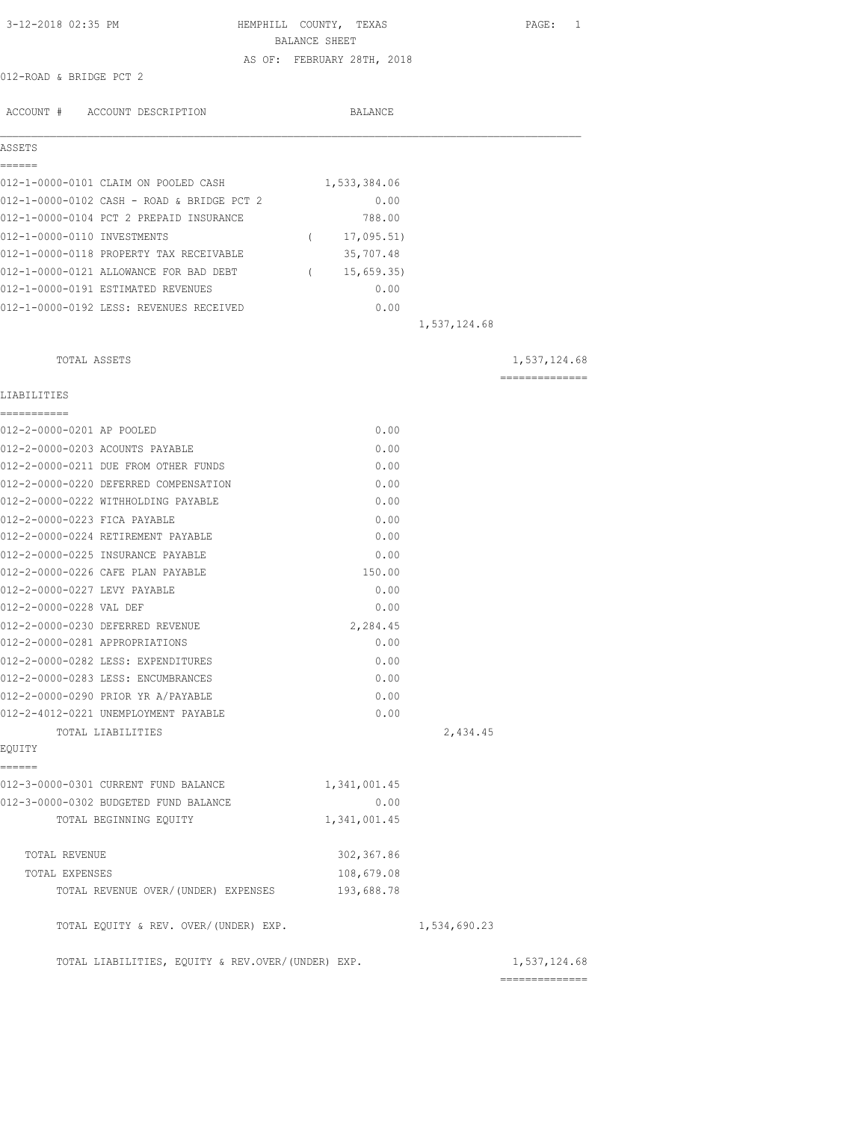| 3-12-2018 02:35 PM                                | HEMPHILL COUNTY, TEXAS<br>BALANCE SHEET |              | PAGE: 1        |
|---------------------------------------------------|-----------------------------------------|--------------|----------------|
|                                                   |                                         |              |                |
| 012-ROAD & BRIDGE PCT 2                           | AS OF: FEBRUARY 28TH, 2018              |              |                |
|                                                   |                                         |              |                |
| ACCOUNT # ACCOUNT DESCRIPTION                     | BALANCE                                 |              |                |
| ASSETS                                            |                                         |              |                |
| ======<br>012-1-0000-0101 CLAIM ON POOLED CASH    | 1,533,384.06                            |              |                |
| 012-1-0000-0102 CASH - ROAD & BRIDGE PCT 2        | 0.00                                    |              |                |
| 012-1-0000-0104 PCT 2 PREPAID INSURANCE           | 788.00                                  |              |                |
| 012-1-0000-0110 INVESTMENTS                       | 17,095.51)<br>$\left($                  |              |                |
| 012-1-0000-0118 PROPERTY TAX RECEIVABLE           | 35,707.48                               |              |                |
| 012-1-0000-0121 ALLOWANCE FOR BAD DEBT            | 15,659.35<br>$\left($                   |              |                |
| 012-1-0000-0191 ESTIMATED REVENUES                | 0.00                                    |              |                |
| 012-1-0000-0192 LESS: REVENUES RECEIVED           | 0.00                                    |              |                |
|                                                   |                                         | 1,537,124.68 |                |
| TOTAL ASSETS                                      |                                         |              | 1,537,124.68   |
|                                                   |                                         |              | ============== |
| LIABILITIES                                       |                                         |              |                |
| 012-2-0000-0201 AP POOLED                         | 0.00                                    |              |                |
| 012-2-0000-0203 ACOUNTS PAYABLE                   | 0.00                                    |              |                |
| 012-2-0000-0211 DUE FROM OTHER FUNDS              | 0.00                                    |              |                |
| 012-2-0000-0220 DEFERRED COMPENSATION             | 0.00                                    |              |                |
| 012-2-0000-0222 WITHHOLDING PAYABLE               | 0.00                                    |              |                |
| 012-2-0000-0223 FICA PAYABLE                      | 0.00                                    |              |                |
| 012-2-0000-0224 RETIREMENT PAYABLE                | 0.00                                    |              |                |
| 012-2-0000-0225 INSURANCE PAYABLE                 | 0.00                                    |              |                |
| 012-2-0000-0226 CAFE PLAN PAYABLE                 | 150.00                                  |              |                |
| 012-2-0000-0227 LEVY PAYABLE                      | 0.00                                    |              |                |
| 012-2-0000-0228 VAL DEF                           | 0.00                                    |              |                |
| 012-2-0000-0230 DEFERRED REVENUE                  | 2,284.45                                |              |                |
| 012-2-0000-0281 APPROPRIATIONS                    | 0.00                                    |              |                |
| 012-2-0000-0282 LESS: EXPENDITURES                | 0.00                                    |              |                |
| 012-2-0000-0283 LESS: ENCUMBRANCES                | 0.00                                    |              |                |
| 012-2-0000-0290 PRIOR YR A/PAYABLE                | 0.00                                    |              |                |
| 012-2-4012-0221 UNEMPLOYMENT PAYABLE              | 0.00                                    |              |                |
| TOTAL LIABILITIES                                 |                                         | 2,434.45     |                |
| EQUITY<br>======                                  |                                         |              |                |
| 012-3-0000-0301 CURRENT FUND BALANCE              | 1,341,001.45                            |              |                |
| 012-3-0000-0302 BUDGETED FUND BALANCE             | 0.00                                    |              |                |
| TOTAL BEGINNING EQUITY                            | 1,341,001.45                            |              |                |
| TOTAL REVENUE                                     | 302, 367.86                             |              |                |
| TOTAL EXPENSES                                    | 108,679.08                              |              |                |
| TOTAL REVENUE OVER/(UNDER) EXPENSES               | 193,688.78                              |              |                |
| TOTAL EQUITY & REV. OVER/(UNDER) EXP.             |                                         | 1,534,690.23 |                |
|                                                   |                                         |              |                |
| TOTAL LIABILITIES, EQUITY & REV.OVER/(UNDER) EXP. |                                         |              | 1,537,124.68   |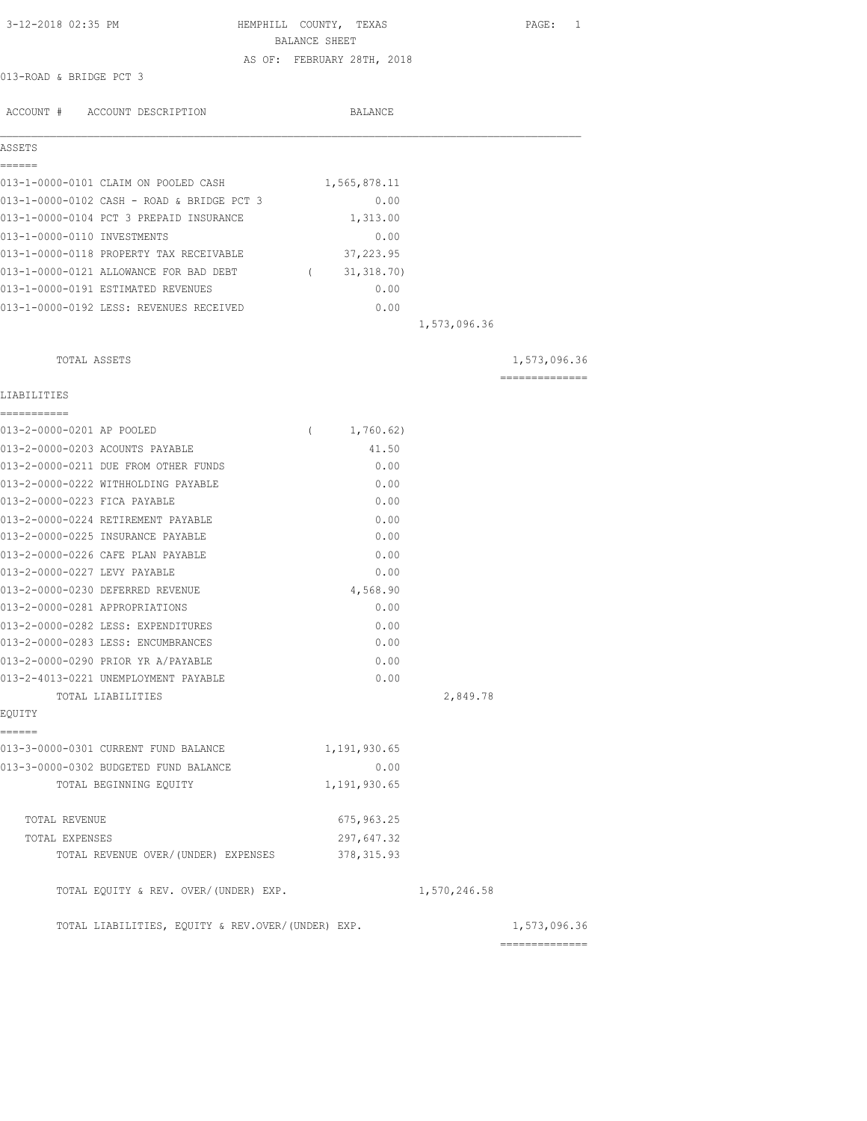| 3-12-2018 02:35 PM                                | HEMPHILL COUNTY, TEXAS<br>BALANCE SHEET | PAGE:<br>1     |
|---------------------------------------------------|-----------------------------------------|----------------|
|                                                   | AS OF: FEBRUARY 28TH, 2018              |                |
| 013-ROAD & BRIDGE PCT 3                           |                                         |                |
|                                                   |                                         |                |
| ACCOUNT # ACCOUNT DESCRIPTION                     | BALANCE                                 |                |
| ASSETS                                            |                                         |                |
| ======                                            |                                         |                |
| 013-1-0000-0101 CLAIM ON POOLED CASH              | 1,565,878.11                            |                |
| 013-1-0000-0102 CASH - ROAD & BRIDGE PCT 3        | 0.00                                    |                |
| 013-1-0000-0104 PCT 3 PREPAID INSURANCE           | 1,313.00                                |                |
| 013-1-0000-0110 INVESTMENTS                       | 0.00                                    |                |
| 013-1-0000-0118 PROPERTY TAX RECEIVABLE           | 37,223.95                               |                |
| 013-1-0000-0121 ALLOWANCE FOR BAD DEBT            | (31, 318.70)                            |                |
| 013-1-0000-0191 ESTIMATED REVENUES                | 0.00                                    |                |
| 013-1-0000-0192 LESS: REVENUES RECEIVED           | 0.00                                    |                |
|                                                   | 1,573,096.36                            |                |
| TOTAL ASSETS                                      |                                         | 1,573,096.36   |
| LIABILITIES                                       |                                         | -------------- |
| -----------                                       |                                         |                |
| 013-2-0000-0201 AP POOLED                         | 1,760.62)<br>$\left($                   |                |
| 013-2-0000-0203 ACOUNTS PAYABLE                   | 41.50                                   |                |
| 013-2-0000-0211 DUE FROM OTHER FUNDS              | 0.00                                    |                |
| 013-2-0000-0222 WITHHOLDING PAYABLE               | 0.00                                    |                |
| 013-2-0000-0223 FICA PAYABLE                      | 0.00                                    |                |
| 013-2-0000-0224 RETIREMENT PAYABLE                | 0.00                                    |                |
| 013-2-0000-0225 INSURANCE PAYABLE                 | 0.00                                    |                |
| 013-2-0000-0226 CAFE PLAN PAYABLE                 | 0.00                                    |                |
| 013-2-0000-0227 LEVY PAYABLE                      | 0.00                                    |                |
| 013-2-0000-0230 DEFERRED REVENUE                  | 4,568.90                                |                |
| 013-2-0000-0281 APPROPRIATIONS                    | 0.00                                    |                |
| 013-2-0000-0282 LESS: EXPENDITURES                | 0.00                                    |                |
| 013-2-0000-0283 LESS: ENCUMBRANCES                | 0.00                                    |                |
| 013-2-0000-0290 PRIOR YR A/PAYABLE                | 0.00                                    |                |
| 013-2-4013-0221 UNEMPLOYMENT PAYABLE              | 0.00                                    |                |
| TOTAL LIABILITIES                                 | 2,849.78                                |                |
| EQUITY                                            |                                         |                |
| ------<br>013-3-0000-0301 CURRENT FUND BALANCE    | 1,191,930.65                            |                |
| 013-3-0000-0302 BUDGETED FUND BALANCE             | 0.00                                    |                |
| TOTAL BEGINNING EQUITY                            | 1,191,930.65                            |                |
| TOTAL REVENUE                                     | 675, 963.25                             |                |
| TOTAL EXPENSES                                    | 297,647.32                              |                |
| TOTAL REVENUE OVER/ (UNDER) EXPENSES              | 378, 315.93                             |                |
| TOTAL EQUITY & REV. OVER/(UNDER) EXP.             | 1,570,246.58                            |                |
| TOTAL LIABILITIES, EQUITY & REV.OVER/(UNDER) EXP. |                                         | 1,573,096.36   |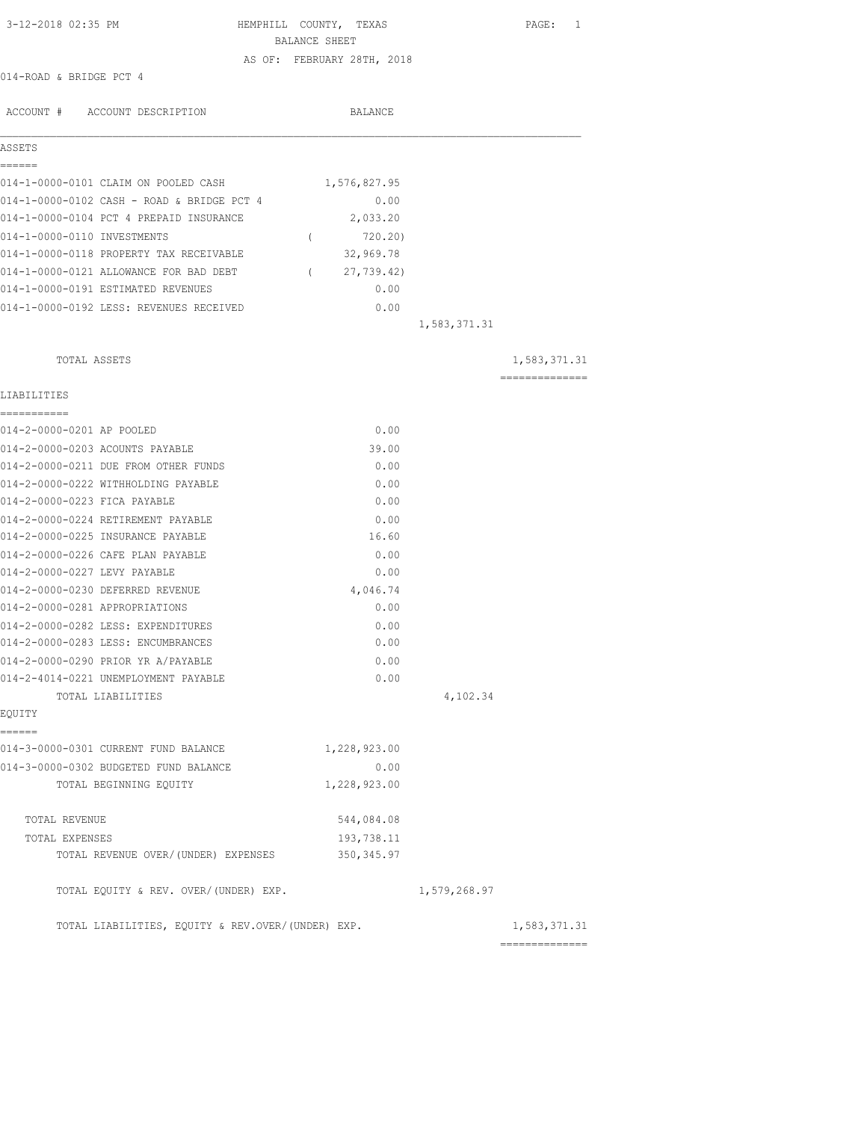| 3-12-2018 02:35 PM                                | HEMPHILL COUNTY, TEXAS     |              | PAGE: 1                        |
|---------------------------------------------------|----------------------------|--------------|--------------------------------|
|                                                   | BALANCE SHEET              |              |                                |
|                                                   | AS OF: FEBRUARY 28TH, 2018 |              |                                |
| 014-ROAD & BRIDGE PCT 4                           |                            |              |                                |
| ACCOUNT # ACCOUNT DESCRIPTION                     | BALANCE                    |              |                                |
| ASSETS                                            |                            |              |                                |
| ======                                            |                            |              |                                |
| 014-1-0000-0101 CLAIM ON POOLED CASH              | 1,576,827.95               |              |                                |
| 014-1-0000-0102 CASH - ROAD & BRIDGE PCT 4        | 0.00                       |              |                                |
| 014-1-0000-0104 PCT 4 PREPAID INSURANCE           | 2,033.20                   |              |                                |
| 014-1-0000-0110 INVESTMENTS                       | 720.20)<br>$\left($        |              |                                |
| 014-1-0000-0118 PROPERTY TAX RECEIVABLE           | 32,969.78                  |              |                                |
| 014-1-0000-0121 ALLOWANCE FOR BAD DEBT            | 27,739.42)<br>$\left($     |              |                                |
| 014-1-0000-0191 ESTIMATED REVENUES                | 0.00                       |              |                                |
| 014-1-0000-0192 LESS: REVENUES RECEIVED           | 0.00                       |              |                                |
|                                                   |                            | 1,583,371.31 |                                |
| TOTAL ASSETS                                      |                            |              | 1,583,371.31                   |
|                                                   |                            |              | ---------------                |
| LIABILITIES                                       |                            |              |                                |
| -----------                                       |                            |              |                                |
| 014-2-0000-0201 AP POOLED                         | 0.00                       |              |                                |
| 014-2-0000-0203 ACOUNTS PAYABLE                   | 39.00                      |              |                                |
| 014-2-0000-0211 DUE FROM OTHER FUNDS              | 0.00                       |              |                                |
| 014-2-0000-0222 WITHHOLDING PAYABLE               | 0.00                       |              |                                |
| 014-2-0000-0223 FICA PAYABLE                      | 0.00                       |              |                                |
| 014-2-0000-0224 RETIREMENT PAYABLE                | 0.00                       |              |                                |
| 014-2-0000-0225 INSURANCE PAYABLE                 | 16.60                      |              |                                |
| 014-2-0000-0226 CAFE PLAN PAYABLE                 | 0.00                       |              |                                |
| 014-2-0000-0227 LEVY PAYABLE                      | 0.00                       |              |                                |
| 014-2-0000-0230 DEFERRED REVENUE                  | 4,046.74                   |              |                                |
| 014-2-0000-0281 APPROPRIATIONS                    | 0.00                       |              |                                |
| 014-2-0000-0282 LESS: EXPENDITURES                | 0.00                       |              |                                |
| 014-2-0000-0283 LESS: ENCUMBRANCES                | 0.00                       |              |                                |
| 014-2-0000-0290 PRIOR YR A/PAYABLE                | 0.00                       |              |                                |
| 014-2-4014-0221 UNEMPLOYMENT PAYABLE              | 0.00                       |              |                                |
| TOTAL LIABILITIES<br>EQUITY                       |                            | 4,102.34     |                                |
| ------                                            |                            |              |                                |
| 014-3-0000-0301 CURRENT FUND BALANCE              | 1,228,923.00               |              |                                |
| 014-3-0000-0302 BUDGETED FUND BALANCE             | 0.00                       |              |                                |
| TOTAL BEGINNING EQUITY                            | 1,228,923.00               |              |                                |
| TOTAL REVENUE                                     | 544,084.08                 |              |                                |
| TOTAL EXPENSES                                    | 193,738.11                 |              |                                |
| TOTAL REVENUE OVER/ (UNDER) EXPENSES              | 350, 345.97                |              |                                |
| TOTAL EQUITY & REV. OVER/(UNDER) EXP.             |                            | 1,579,268.97 |                                |
| TOTAL LIABILITIES, EQUITY & REV.OVER/(UNDER) EXP. |                            |              | 1,583,371.31<br>============== |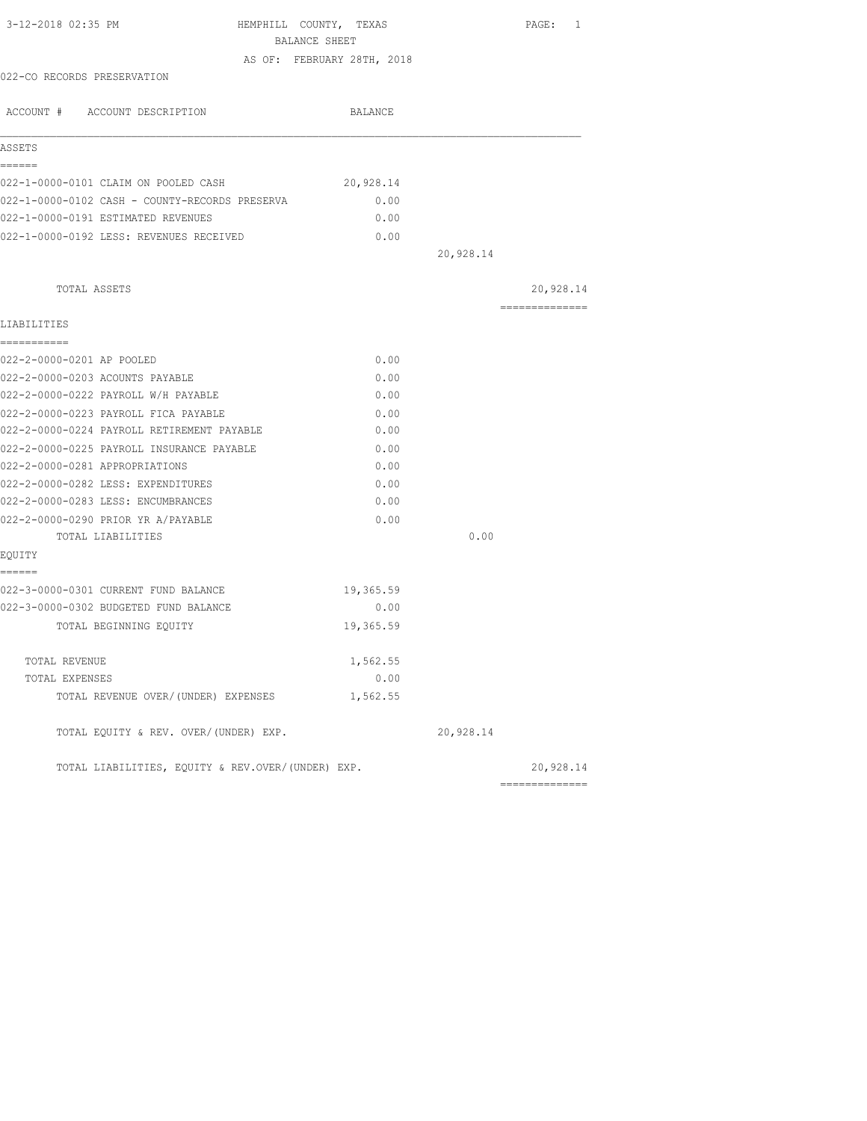| HEMPHILL COUNTY, TEXAS | PAGE: 1                                                                                                                                                                                                    |
|------------------------|------------------------------------------------------------------------------------------------------------------------------------------------------------------------------------------------------------|
|                        |                                                                                                                                                                                                            |
|                        |                                                                                                                                                                                                            |
|                        |                                                                                                                                                                                                            |
| BALANCE                |                                                                                                                                                                                                            |
|                        |                                                                                                                                                                                                            |
|                        |                                                                                                                                                                                                            |
| 20,928.14              |                                                                                                                                                                                                            |
| 0.00                   |                                                                                                                                                                                                            |
| 0.00                   |                                                                                                                                                                                                            |
| 0.00                   |                                                                                                                                                                                                            |
| 20,928.14              |                                                                                                                                                                                                            |
|                        | 20,928.14                                                                                                                                                                                                  |
|                        | --------------                                                                                                                                                                                             |
|                        |                                                                                                                                                                                                            |
| 0.00                   |                                                                                                                                                                                                            |
|                        |                                                                                                                                                                                                            |
|                        |                                                                                                                                                                                                            |
|                        |                                                                                                                                                                                                            |
|                        |                                                                                                                                                                                                            |
|                        |                                                                                                                                                                                                            |
|                        |                                                                                                                                                                                                            |
|                        |                                                                                                                                                                                                            |
|                        |                                                                                                                                                                                                            |
|                        |                                                                                                                                                                                                            |
| 0.00                   |                                                                                                                                                                                                            |
|                        |                                                                                                                                                                                                            |
|                        |                                                                                                                                                                                                            |
|                        |                                                                                                                                                                                                            |
|                        |                                                                                                                                                                                                            |
|                        |                                                                                                                                                                                                            |
| 1,562.55               |                                                                                                                                                                                                            |
| 0.00                   |                                                                                                                                                                                                            |
| 1,562.55               |                                                                                                                                                                                                            |
| 20,928.14              |                                                                                                                                                                                                            |
|                        | 20,928.14                                                                                                                                                                                                  |
|                        | BALANCE SHEET<br>AS OF: FEBRUARY 28TH, 2018<br>0.00<br>0.00<br>0.00<br>0.00<br>0.00<br>0.00<br>0.00<br>0.00<br>0.00<br>19,365.59<br>0.00<br>19,365.59<br>TOTAL LIABILITIES, EQUITY & REV.OVER/(UNDER) EXP. |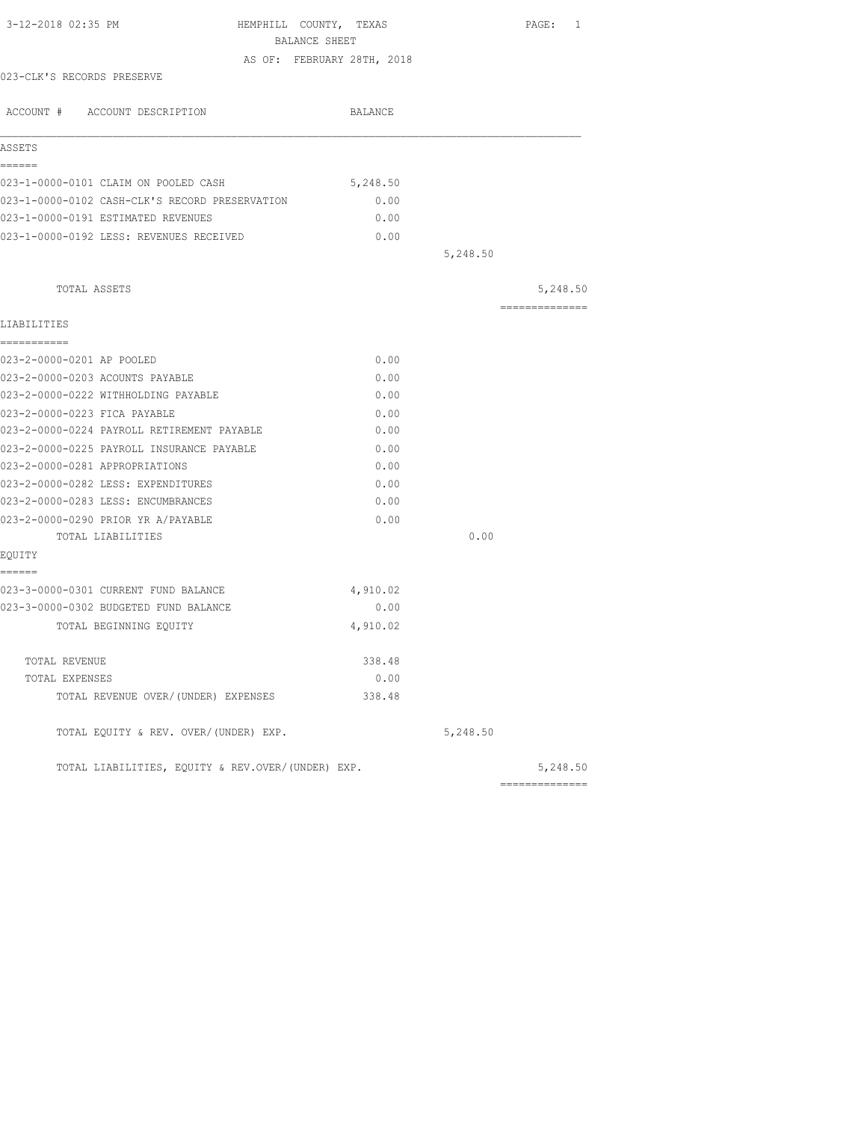|                                                                                                                                                                                                                                                                                                    | HEMPHILL COUNTY, TEXAS                                                                  |                                                                    |                                                                                                                                                                                                                       | PAGE: 1  |                |
|----------------------------------------------------------------------------------------------------------------------------------------------------------------------------------------------------------------------------------------------------------------------------------------------------|-----------------------------------------------------------------------------------------|--------------------------------------------------------------------|-----------------------------------------------------------------------------------------------------------------------------------------------------------------------------------------------------------------------|----------|----------------|
|                                                                                                                                                                                                                                                                                                    |                                                                                         |                                                                    |                                                                                                                                                                                                                       |          |                |
|                                                                                                                                                                                                                                                                                                    |                                                                                         |                                                                    |                                                                                                                                                                                                                       |          |                |
|                                                                                                                                                                                                                                                                                                    |                                                                                         |                                                                    |                                                                                                                                                                                                                       |          |                |
|                                                                                                                                                                                                                                                                                                    |                                                                                         |                                                                    |                                                                                                                                                                                                                       |          |                |
|                                                                                                                                                                                                                                                                                                    |                                                                                         |                                                                    |                                                                                                                                                                                                                       |          |                |
|                                                                                                                                                                                                                                                                                                    |                                                                                         |                                                                    |                                                                                                                                                                                                                       |          |                |
|                                                                                                                                                                                                                                                                                                    |                                                                                         |                                                                    |                                                                                                                                                                                                                       |          |                |
|                                                                                                                                                                                                                                                                                                    |                                                                                         |                                                                    |                                                                                                                                                                                                                       |          |                |
|                                                                                                                                                                                                                                                                                                    |                                                                                         |                                                                    |                                                                                                                                                                                                                       |          |                |
|                                                                                                                                                                                                                                                                                                    |                                                                                         |                                                                    |                                                                                                                                                                                                                       |          |                |
|                                                                                                                                                                                                                                                                                                    |                                                                                         |                                                                    | 5,248.50                                                                                                                                                                                                              |          |                |
|                                                                                                                                                                                                                                                                                                    |                                                                                         |                                                                    |                                                                                                                                                                                                                       | 5,248.50 |                |
|                                                                                                                                                                                                                                                                                                    |                                                                                         |                                                                    |                                                                                                                                                                                                                       |          |                |
|                                                                                                                                                                                                                                                                                                    |                                                                                         |                                                                    |                                                                                                                                                                                                                       |          |                |
|                                                                                                                                                                                                                                                                                                    |                                                                                         |                                                                    |                                                                                                                                                                                                                       |          |                |
|                                                                                                                                                                                                                                                                                                    |                                                                                         |                                                                    |                                                                                                                                                                                                                       |          |                |
|                                                                                                                                                                                                                                                                                                    |                                                                                         |                                                                    |                                                                                                                                                                                                                       |          |                |
|                                                                                                                                                                                                                                                                                                    |                                                                                         |                                                                    |                                                                                                                                                                                                                       |          |                |
|                                                                                                                                                                                                                                                                                                    |                                                                                         |                                                                    |                                                                                                                                                                                                                       |          |                |
|                                                                                                                                                                                                                                                                                                    |                                                                                         |                                                                    |                                                                                                                                                                                                                       |          |                |
|                                                                                                                                                                                                                                                                                                    |                                                                                         |                                                                    |                                                                                                                                                                                                                       |          |                |
|                                                                                                                                                                                                                                                                                                    |                                                                                         |                                                                    |                                                                                                                                                                                                                       |          |                |
|                                                                                                                                                                                                                                                                                                    |                                                                                         |                                                                    |                                                                                                                                                                                                                       |          |                |
|                                                                                                                                                                                                                                                                                                    |                                                                                         |                                                                    |                                                                                                                                                                                                                       |          |                |
|                                                                                                                                                                                                                                                                                                    |                                                                                         |                                                                    |                                                                                                                                                                                                                       |          |                |
|                                                                                                                                                                                                                                                                                                    |                                                                                         |                                                                    | 0.00                                                                                                                                                                                                                  |          |                |
|                                                                                                                                                                                                                                                                                                    |                                                                                         |                                                                    |                                                                                                                                                                                                                       |          |                |
|                                                                                                                                                                                                                                                                                                    |                                                                                         |                                                                    |                                                                                                                                                                                                                       |          |                |
|                                                                                                                                                                                                                                                                                                    |                                                                                         |                                                                    |                                                                                                                                                                                                                       |          |                |
|                                                                                                                                                                                                                                                                                                    |                                                                                         |                                                                    |                                                                                                                                                                                                                       |          |                |
|                                                                                                                                                                                                                                                                                                    |                                                                                         |                                                                    |                                                                                                                                                                                                                       |          |                |
|                                                                                                                                                                                                                                                                                                    |                                                                                         |                                                                    |                                                                                                                                                                                                                       |          |                |
|                                                                                                                                                                                                                                                                                                    |                                                                                         |                                                                    |                                                                                                                                                                                                                       |          |                |
|                                                                                                                                                                                                                                                                                                    |                                                                                         |                                                                    | 5,248.50                                                                                                                                                                                                              |          |                |
|                                                                                                                                                                                                                                                                                                    |                                                                                         |                                                                    |                                                                                                                                                                                                                       | 5,248.50 |                |
| 023-1-0000-0101 CLAIM ON POOLED CASH<br>023-1-0000-0192 LESS: REVENUES RECEIVED<br>023-2-0000-0224 PAYROLL RETIREMENT PAYABLE<br>023-2-0000-0225 PAYROLL INSURANCE PAYABLE<br>023-3-0000-0301 CURRENT FUND BALANCE<br>023-3-0000-0302 BUDGETED FUND BALANCE<br>TOTAL REVENUE OVER/(UNDER) EXPENSES | 023-1-0000-0102 CASH-CLK'S RECORD PRESERVATION<br>TOTAL EQUITY & REV. OVER/(UNDER) EXP. | BALANCE SHEET<br>TOTAL LIABILITIES, EQUITY & REV.OVER/(UNDER) EXP. | AS OF: FEBRUARY 28TH, 2018<br>BALANCE<br>5,248.50<br>0.00<br>0.00<br>0.00<br>0.00<br>0.00<br>0.00<br>0.00<br>0.00<br>0.00<br>0.00<br>0.00<br>0.00<br>0.00<br>4,910.02<br>0.00<br>4,910.02<br>338.48<br>0.00<br>338.48 |          | ============== |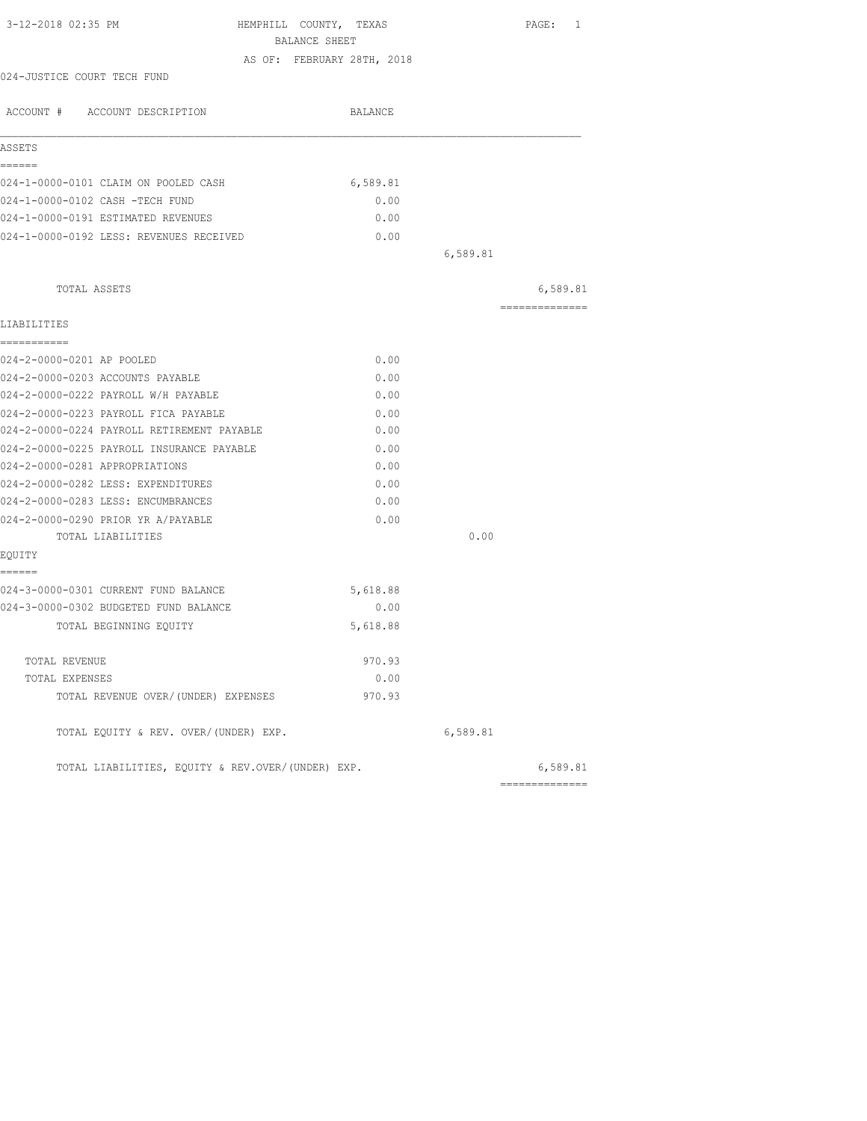| 3-12-2018 02:35 PM<br>HEMPHILL COUNTY, TEXAS<br>BALANCE SHEET |          |          | PAGE: 1        |
|---------------------------------------------------------------|----------|----------|----------------|
|                                                               |          |          |                |
| AS OF: FEBRUARY 28TH, 2018<br>024-JUSTICE COURT TECH FUND     |          |          |                |
|                                                               |          |          |                |
| ACCOUNT # ACCOUNT DESCRIPTION                                 | BALANCE  |          |                |
|                                                               |          |          |                |
| ASSETS                                                        |          |          |                |
| ======<br>024-1-0000-0101 CLAIM ON POOLED CASH                | 6,589.81 |          |                |
| 024-1-0000-0102 CASH -TECH FUND                               | 0.00     |          |                |
| 024-1-0000-0191 ESTIMATED REVENUES                            | 0.00     |          |                |
| 024-1-0000-0192 LESS: REVENUES RECEIVED                       | 0.00     |          |                |
|                                                               |          | 6,589.81 |                |
|                                                               |          |          |                |
| TOTAL ASSETS                                                  |          |          | 6,589.81       |
|                                                               |          |          | -------------- |
| LIABILITIES                                                   |          |          |                |
| ===========<br>024-2-0000-0201 AP POOLED                      | 0.00     |          |                |
| 024-2-0000-0203 ACCOUNTS PAYABLE                              | 0.00     |          |                |
| 024-2-0000-0222 PAYROLL W/H PAYABLE                           | 0.00     |          |                |
| 024-2-0000-0223 PAYROLL FICA PAYABLE                          | 0.00     |          |                |
| 024-2-0000-0224 PAYROLL RETIREMENT PAYABLE                    | 0.00     |          |                |
| 024-2-0000-0225 PAYROLL INSURANCE PAYABLE                     | 0.00     |          |                |
| 024-2-0000-0281 APPROPRIATIONS                                | 0.00     |          |                |
| 024-2-0000-0282 LESS: EXPENDITURES                            | 0.00     |          |                |
| 024-2-0000-0283 LESS: ENCUMBRANCES                            | 0.00     |          |                |
| 024-2-0000-0290 PRIOR YR A/PAYABLE                            | 0.00     |          |                |
| TOTAL LIABILITIES                                             |          | 0.00     |                |
| EQUITY                                                        |          |          |                |
| ======                                                        |          |          |                |
| 024-3-0000-0301 CURRENT FUND BALANCE                          | 5,618.88 |          |                |
| 024-3-0000-0302 BUDGETED FUND BALANCE                         | 0.00     |          |                |
| TOTAL BEGINNING EQUITY                                        | 5,618.88 |          |                |
|                                                               |          |          |                |
| TOTAL REVENUE                                                 | 970.93   |          |                |
| TOTAL EXPENSES                                                | 0.00     |          |                |
| TOTAL REVENUE OVER/(UNDER) EXPENSES                           | 970.93   |          |                |
| TOTAL EQUITY & REV. OVER/(UNDER) EXP.                         |          | 6,589.81 |                |
| TOTAL LIABILITIES, EQUITY & REV.OVER/(UNDER) EXP.             |          |          | 6,589.81       |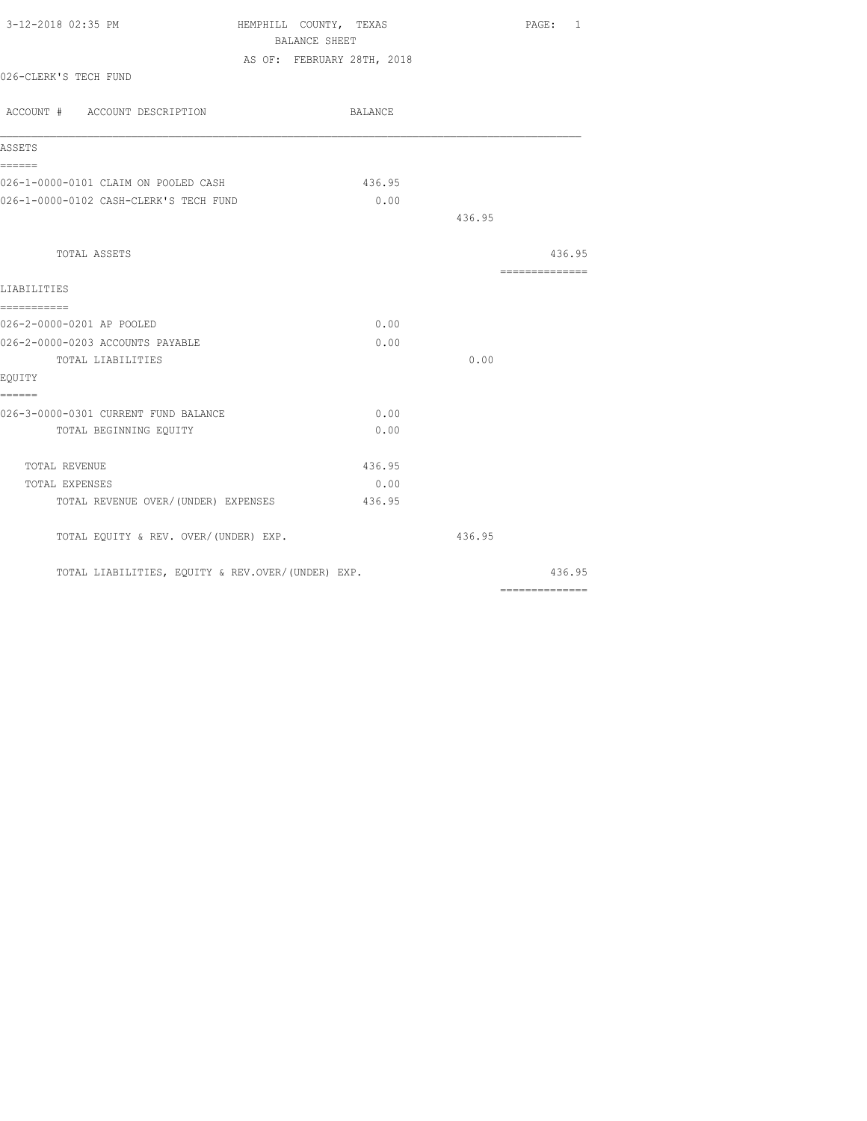| 3-12-2018 02:35 PM                                | HEMPHILL COUNTY, TEXAS     |        | PAGE: 1                                                                                                                                                                                                                                                                                                                                                                                                                                                                                |
|---------------------------------------------------|----------------------------|--------|----------------------------------------------------------------------------------------------------------------------------------------------------------------------------------------------------------------------------------------------------------------------------------------------------------------------------------------------------------------------------------------------------------------------------------------------------------------------------------------|
|                                                   | BALANCE SHEET              |        |                                                                                                                                                                                                                                                                                                                                                                                                                                                                                        |
|                                                   | AS OF: FEBRUARY 28TH, 2018 |        |                                                                                                                                                                                                                                                                                                                                                                                                                                                                                        |
| 026-CLERK'S TECH FUND                             |                            |        |                                                                                                                                                                                                                                                                                                                                                                                                                                                                                        |
| ACCOUNT # ACCOUNT DESCRIPTION                     | BALANCE                    |        |                                                                                                                                                                                                                                                                                                                                                                                                                                                                                        |
| ASSETS                                            |                            |        |                                                                                                                                                                                                                                                                                                                                                                                                                                                                                        |
| ------<br>026-1-0000-0101 CLAIM ON POOLED CASH    | 436.95                     |        |                                                                                                                                                                                                                                                                                                                                                                                                                                                                                        |
| 026-1-0000-0102 CASH-CLERK'S TECH FUND            | 0.00                       |        |                                                                                                                                                                                                                                                                                                                                                                                                                                                                                        |
|                                                   |                            | 436.95 |                                                                                                                                                                                                                                                                                                                                                                                                                                                                                        |
| TOTAL ASSETS                                      |                            |        | 436.95                                                                                                                                                                                                                                                                                                                                                                                                                                                                                 |
| LIABILITIES                                       |                            |        | $\begin{array}{cccccccccc} \multicolumn{2}{c}{} & \multicolumn{2}{c}{} & \multicolumn{2}{c}{} & \multicolumn{2}{c}{} & \multicolumn{2}{c}{} & \multicolumn{2}{c}{} & \multicolumn{2}{c}{} & \multicolumn{2}{c}{} & \multicolumn{2}{c}{} & \multicolumn{2}{c}{} & \multicolumn{2}{c}{} & \multicolumn{2}{c}{} & \multicolumn{2}{c}{} & \multicolumn{2}{c}{} & \multicolumn{2}{c}{} & \multicolumn{2}{c}{} & \multicolumn{2}{c}{} & \multicolumn{2}{c}{} & \multicolumn{2}{c}{} & \mult$ |
| ===========                                       |                            |        |                                                                                                                                                                                                                                                                                                                                                                                                                                                                                        |
| 026-2-0000-0201 AP POOLED                         | 0.00                       |        |                                                                                                                                                                                                                                                                                                                                                                                                                                                                                        |
| 026-2-0000-0203 ACCOUNTS PAYABLE                  | 0.00                       |        |                                                                                                                                                                                                                                                                                                                                                                                                                                                                                        |
| TOTAL LIABILITIES                                 |                            | 0.00   |                                                                                                                                                                                                                                                                                                                                                                                                                                                                                        |
| EQUITY                                            |                            |        |                                                                                                                                                                                                                                                                                                                                                                                                                                                                                        |
| ======<br>026-3-0000-0301 CURRENT FUND BALANCE    | 0.00                       |        |                                                                                                                                                                                                                                                                                                                                                                                                                                                                                        |
| TOTAL BEGINNING EQUITY                            | 0.00                       |        |                                                                                                                                                                                                                                                                                                                                                                                                                                                                                        |
|                                                   |                            |        |                                                                                                                                                                                                                                                                                                                                                                                                                                                                                        |
| TOTAL REVENUE                                     | 436.95                     |        |                                                                                                                                                                                                                                                                                                                                                                                                                                                                                        |
| TOTAL EXPENSES                                    | 0.00                       |        |                                                                                                                                                                                                                                                                                                                                                                                                                                                                                        |
| TOTAL REVENUE OVER/(UNDER) EXPENSES               | 436.95                     |        |                                                                                                                                                                                                                                                                                                                                                                                                                                                                                        |
| TOTAL EQUITY & REV. OVER/(UNDER) EXP.             |                            | 436.95 |                                                                                                                                                                                                                                                                                                                                                                                                                                                                                        |
| TOTAL LIABILITIES, EQUITY & REV.OVER/(UNDER) EXP. |                            |        | 436.95                                                                                                                                                                                                                                                                                                                                                                                                                                                                                 |
|                                                   |                            |        | $\begin{array}{cccccccccccccc} \multicolumn{2}{c}{} & \multicolumn{2}{c}{} & \multicolumn{2}{c}{} & \multicolumn{2}{c}{} & \multicolumn{2}{c}{} & \multicolumn{2}{c}{} & \multicolumn{2}{c}{} & \multicolumn{2}{c}{} & \multicolumn{2}{c}{} & \multicolumn{2}{c}{} & \multicolumn{2}{c}{} & \multicolumn{2}{c}{} & \multicolumn{2}{c}{} & \multicolumn{2}{c}{} & \multicolumn{2}{c}{} & \multicolumn{2}{c}{} & \multicolumn{2}{c}{} & \multicolumn{2}{c}{} & \multicolumn{2}{c}{} & \$ |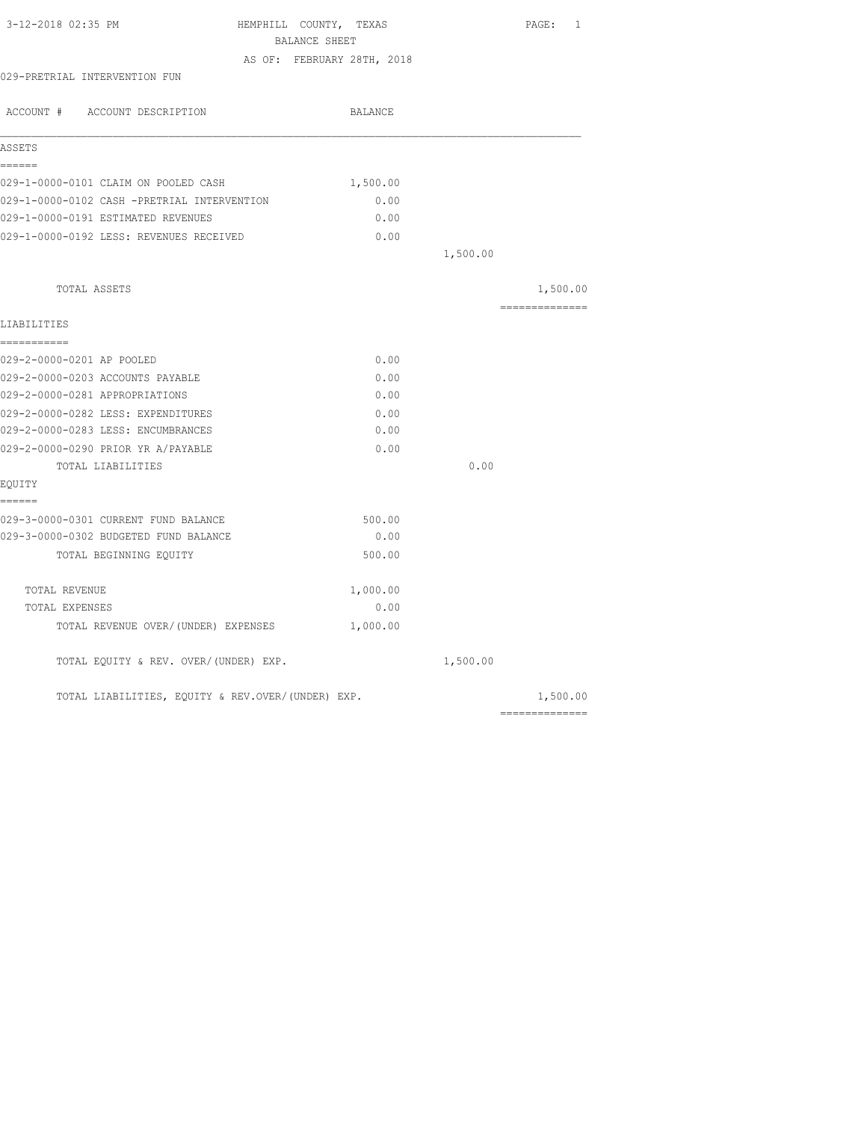| 3-12-2018 02:35 PM                                | HEMPHILL COUNTY, TEXAS     | PAGE: 1  |
|---------------------------------------------------|----------------------------|----------|
|                                                   | BALANCE SHEET              |          |
|                                                   | AS OF: FEBRUARY 28TH, 2018 |          |
| 029-PRETRIAL INTERVENTION FUN                     |                            |          |
| ACCOUNT # ACCOUNT DESCRIPTION                     | BALANCE                    |          |
| ASSETS                                            |                            |          |
| ------                                            |                            |          |
| 029-1-0000-0101 CLAIM ON POOLED CASH              | 1,500.00                   |          |
| 029-1-0000-0102 CASH -PRETRIAL INTERVENTION       | 0.00                       |          |
| 029-1-0000-0191 ESTIMATED REVENUES                | 0.00                       |          |
| 029-1-0000-0192 LESS: REVENUES RECEIVED           | 0.00                       |          |
|                                                   |                            | 1,500.00 |
| TOTAL ASSETS                                      |                            | 1,500.00 |
| LIABILITIES                                       |                            |          |
| -----------                                       |                            |          |
| 029-2-0000-0201 AP POOLED                         | 0.00                       |          |
| 029-2-0000-0203 ACCOUNTS PAYABLE                  | 0.00                       |          |
| 029-2-0000-0281 APPROPRIATIONS                    | 0.00                       |          |
| 029-2-0000-0282 LESS: EXPENDITURES                | 0.00                       |          |
| 029-2-0000-0283 LESS: ENCUMBRANCES                | 0.00                       |          |
| 029-2-0000-0290 PRIOR YR A/PAYABLE                | 0.00                       |          |
| TOTAL LIABILITIES                                 |                            | 0.00     |
| EOUITY                                            |                            |          |
| ------<br>029-3-0000-0301 CURRENT FUND BALANCE    | 500.00                     |          |
| 029-3-0000-0302 BUDGETED FUND BALANCE             | 0.00                       |          |
| TOTAL BEGINNING EOUITY                            | 500.00                     |          |
| TOTAL REVENUE                                     | 1,000.00                   |          |
| TOTAL EXPENSES                                    | 0.00                       |          |
| TOTAL REVENUE OVER/(UNDER) EXPENSES               | 1,000.00                   |          |
| TOTAL EQUITY & REV. OVER/(UNDER) EXP.             |                            | 1,500.00 |
| TOTAL LIABILITIES, EQUITY & REV.OVER/(UNDER) EXP. |                            | 1,500.00 |
|                                                   |                            |          |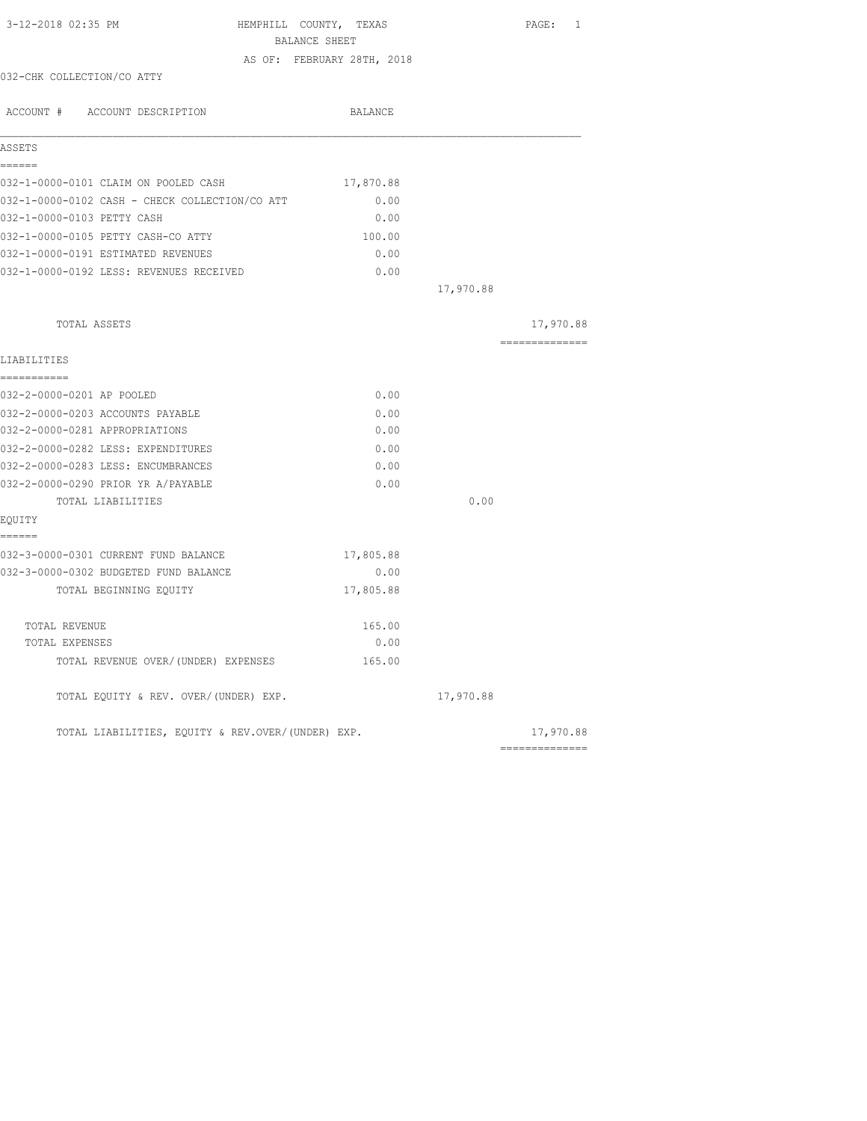| 3-12-2018 02:35 PM<br>HEMPHILL COUNTY, TEXAS<br>BALANCE SHEET |                            |           | PAGE: 1                      |
|---------------------------------------------------------------|----------------------------|-----------|------------------------------|
|                                                               | AS OF: FEBRUARY 28TH, 2018 |           |                              |
| 032-CHK COLLECTION/CO ATTY                                    |                            |           |                              |
| ACCOUNT # ACCOUNT DESCRIPTION                                 | BALANCE                    |           |                              |
| ASSETS<br>------                                              |                            |           |                              |
| 032-1-0000-0101 CLAIM ON POOLED CASH                          | 17,870.88                  |           |                              |
| 032-1-0000-0102 CASH - CHECK COLLECTION/CO ATT                | 0.00                       |           |                              |
| 032-1-0000-0103 PETTY CASH                                    | 0.00                       |           |                              |
| 032-1-0000-0105 PETTY CASH-CO ATTY                            | 100.00                     |           |                              |
| 032-1-0000-0191 ESTIMATED REVENUES                            | 0.00                       |           |                              |
| 032-1-0000-0192 LESS: REVENUES RECEIVED                       | 0.00                       |           |                              |
|                                                               |                            | 17,970.88 |                              |
| TOTAL ASSETS                                                  |                            |           | 17,970.88                    |
| LIABILITIES                                                   |                            |           | ===============              |
| ===========<br>032-2-0000-0201 AP POOLED                      | 0.00                       |           |                              |
| 032-2-0000-0203 ACCOUNTS PAYABLE                              | 0.00                       |           |                              |
| 032-2-0000-0281 APPROPRIATIONS                                | 0.00                       |           |                              |
| 032-2-0000-0282 LESS: EXPENDITURES                            | 0.00                       |           |                              |
| 032-2-0000-0283 LESS: ENCUMBRANCES                            | 0.00                       |           |                              |
| 032-2-0000-0290 PRIOR YR A/PAYABLE                            | 0.00                       |           |                              |
| TOTAL LIABILITIES                                             |                            | 0.00      |                              |
| EQUITY<br>------                                              |                            |           |                              |
| 032-3-0000-0301 CURRENT FUND BALANCE                          | 17,805.88                  |           |                              |
| 032-3-0000-0302 BUDGETED FUND BALANCE                         | 0.00                       |           |                              |
| TOTAL BEGINNING EQUITY                                        | 17,805.88                  |           |                              |
| TOTAL REVENUE                                                 | 165.00                     |           |                              |
| TOTAL EXPENSES                                                | 0.00                       |           |                              |
| TOTAL REVENUE OVER/(UNDER) EXPENSES                           | 165.00                     |           |                              |
| TOTAL EQUITY & REV. OVER/(UNDER) EXP.                         |                            | 17,970.88 |                              |
| TOTAL LIABILITIES, EQUITY & REV.OVER/(UNDER) EXP.             |                            |           | 17,970.88<br>--------------- |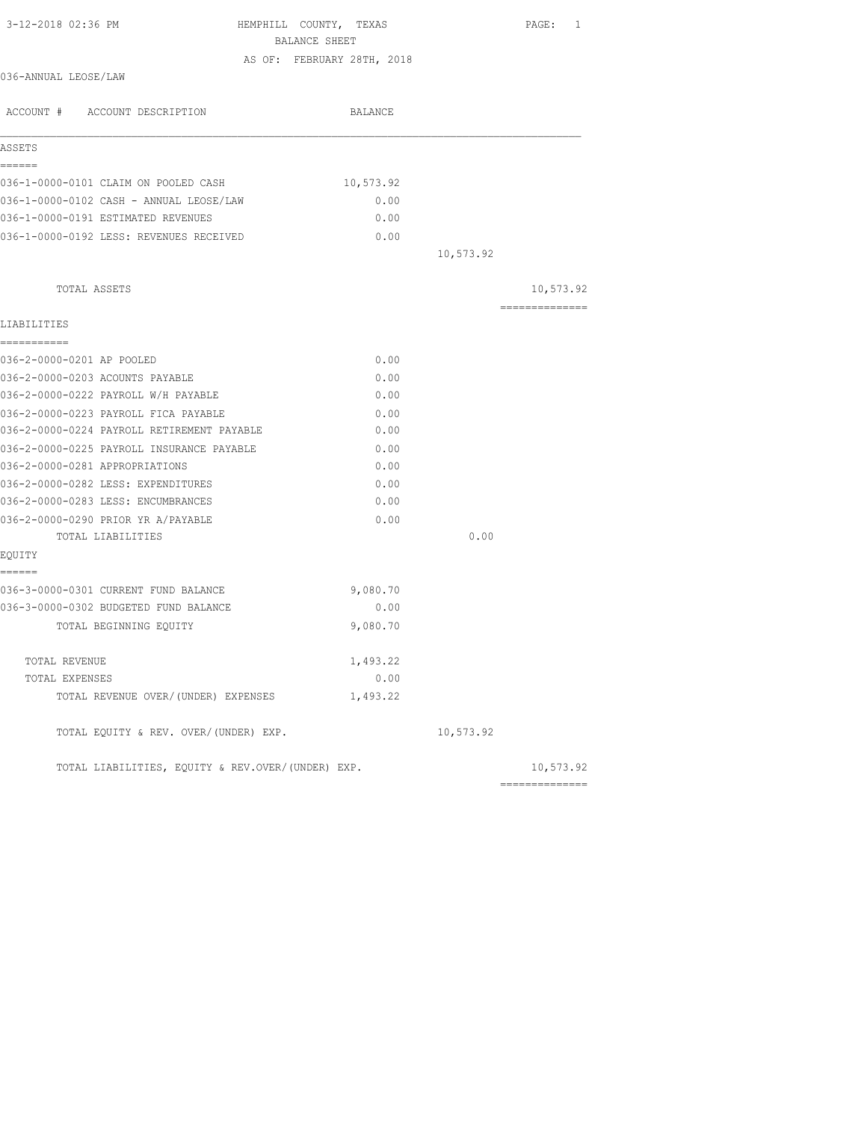| 3-12-2018 02:36 PM                                | HEMPHILL COUNTY, TEXAS<br>BALANCE SHEET | PAGE: 1        |
|---------------------------------------------------|-----------------------------------------|----------------|
|                                                   | AS OF: FEBRUARY 28TH, 2018              |                |
| 036-ANNUAL LEOSE/LAW                              |                                         |                |
| ACCOUNT # ACCOUNT DESCRIPTION                     | BALANCE                                 |                |
| ASSETS                                            |                                         |                |
| ------                                            |                                         |                |
| 036-1-0000-0101 CLAIM ON POOLED CASH              | 10,573.92                               |                |
| 036-1-0000-0102 CASH - ANNUAL LEOSE/LAW           | 0.00                                    |                |
| 036-1-0000-0191 ESTIMATED REVENUES                | 0.00                                    |                |
| 036-1-0000-0192 LESS: REVENUES RECEIVED           | 0.00                                    |                |
|                                                   | 10,573.92                               |                |
| TOTAL ASSETS                                      |                                         | 10,573.92      |
|                                                   |                                         | ============== |
| LIABILITIES                                       |                                         |                |
| ===========                                       |                                         |                |
| 036-2-0000-0201 AP POOLED                         | 0.00                                    |                |
| 036-2-0000-0203 ACOUNTS PAYABLE                   | 0.00                                    |                |
| 036-2-0000-0222 PAYROLL W/H PAYABLE               | 0.00                                    |                |
| 036-2-0000-0223 PAYROLL FICA PAYABLE              | 0.00                                    |                |
| 036-2-0000-0224 PAYROLL RETIREMENT PAYABLE        | 0.00                                    |                |
| 036-2-0000-0225 PAYROLL INSURANCE PAYABLE         | 0.00                                    |                |
| 036-2-0000-0281 APPROPRIATIONS                    | 0.00                                    |                |
| 036-2-0000-0282 LESS: EXPENDITURES                | 0.00                                    |                |
| 036-2-0000-0283 LESS: ENCUMBRANCES                | 0.00                                    |                |
| 036-2-0000-0290 PRIOR YR A/PAYABLE                | 0.00                                    |                |
| TOTAL LIABILITIES                                 |                                         | 0.00           |
| EQUITY<br>======                                  |                                         |                |
| 036-3-0000-0301 CURRENT FUND BALANCE              | 9,080.70                                |                |
| 036-3-0000-0302 BUDGETED FUND BALANCE             | 0.00                                    |                |
| TOTAL BEGINNING EQUITY                            | 9,080.70                                |                |
|                                                   |                                         |                |
| TOTAL REVENUE                                     | 1,493.22                                |                |
| TOTAL EXPENSES                                    | 0.00                                    |                |
| TOTAL REVENUE OVER/(UNDER) EXPENSES               | 1,493.22                                |                |
| TOTAL EQUITY & REV. OVER/(UNDER) EXP.             | 10,573.92                               |                |
| TOTAL LIABILITIES, EQUITY & REV.OVER/(UNDER) EXP. |                                         | 10,573.92      |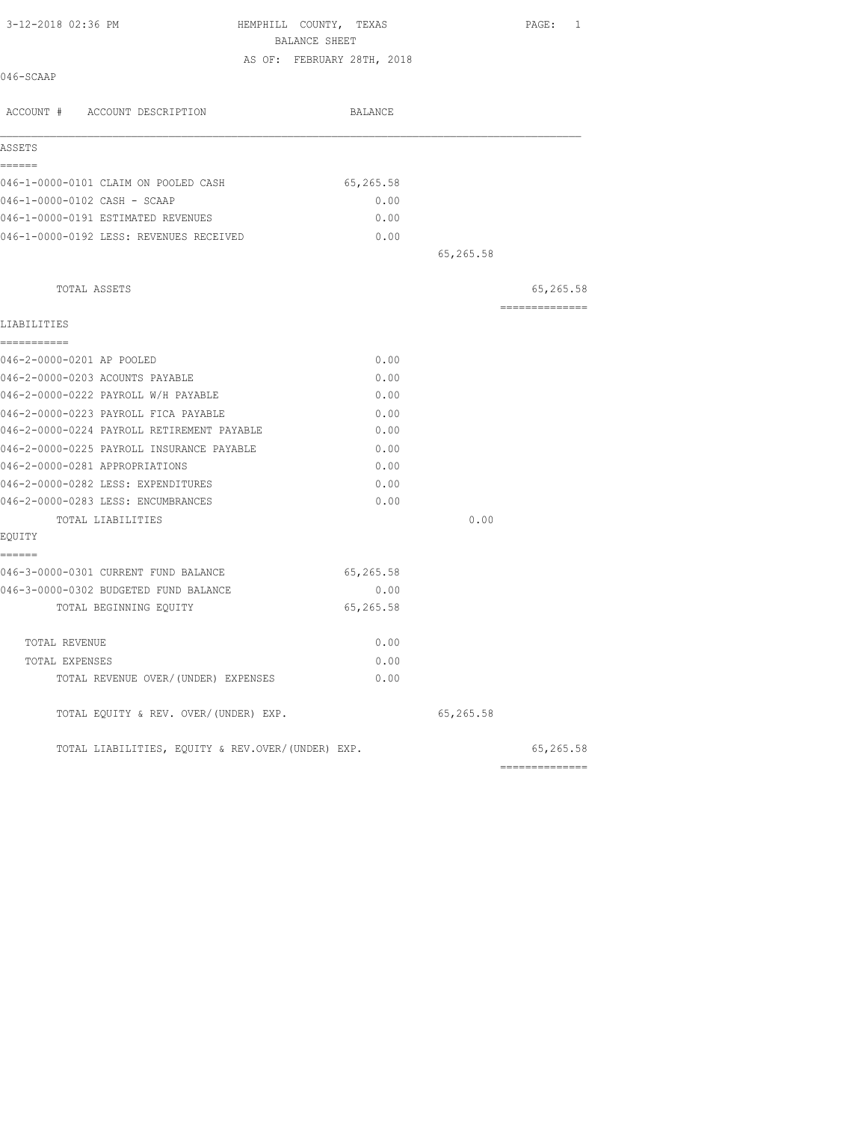| 3-12-2018 02:36 PM                                                 | HEMPHILL COUNTY, TEXAS     |           | PAGE: 1        |
|--------------------------------------------------------------------|----------------------------|-----------|----------------|
|                                                                    | BALANCE SHEET              |           |                |
| 046-SCAAP                                                          | AS OF: FEBRUARY 28TH, 2018 |           |                |
| ACCOUNT # ACCOUNT DESCRIPTION                                      | BALANCE                    |           |                |
| ASSETS                                                             |                            |           |                |
| ======<br>046-1-0000-0101 CLAIM ON POOLED CASH                     | 65,265.58                  |           |                |
|                                                                    |                            |           |                |
| 046-1-0000-0102 CASH - SCAAP<br>046-1-0000-0191 ESTIMATED REVENUES | 0.00<br>0.00               |           |                |
| 046-1-0000-0192 LESS: REVENUES RECEIVED                            | 0.00                       |           |                |
|                                                                    |                            | 65,265.58 |                |
|                                                                    |                            |           |                |
| TOTAL ASSETS                                                       |                            |           | 65,265.58      |
|                                                                    |                            |           | -------------- |
| LIABILITIES                                                        |                            |           |                |
| ===========                                                        |                            |           |                |
| 046-2-0000-0201 AP POOLED                                          | 0.00                       |           |                |
| 046-2-0000-0203 ACOUNTS PAYABLE                                    | 0.00                       |           |                |
| 046-2-0000-0222 PAYROLL W/H PAYABLE                                | 0.00                       |           |                |
| 046-2-0000-0223 PAYROLL FICA PAYABLE                               | 0.00                       |           |                |
| 046-2-0000-0224 PAYROLL RETIREMENT PAYABLE                         | 0.00                       |           |                |
| 046-2-0000-0225 PAYROLL INSURANCE PAYABLE                          | 0.00                       |           |                |
| 046-2-0000-0281 APPROPRIATIONS                                     | 0.00                       |           |                |
| 046-2-0000-0282 LESS: EXPENDITURES                                 | 0.00                       |           |                |
| 046-2-0000-0283 LESS: ENCUMBRANCES                                 | 0.00                       |           |                |
| TOTAL LIABILITIES                                                  |                            | 0.00      |                |
| EQUITY                                                             |                            |           |                |
| ======<br>046-3-0000-0301 CURRENT FUND BALANCE                     | 65,265.58                  |           |                |
| 046-3-0000-0302 BUDGETED FUND BALANCE                              | 0.00                       |           |                |
| TOTAL BEGINNING EQUITY                                             | 65,265.58                  |           |                |
|                                                                    |                            |           |                |
| TOTAL REVENUE                                                      | 0.00                       |           |                |
| TOTAL EXPENSES                                                     | 0.00                       |           |                |
| TOTAL REVENUE OVER/(UNDER) EXPENSES                                | 0.00                       |           |                |
| TOTAL EQUITY & REV. OVER/(UNDER) EXP.                              |                            | 65,265.58 |                |
| TOTAL LIABILITIES, EQUITY & REV.OVER/(UNDER) EXP.                  |                            |           | 65,265.58      |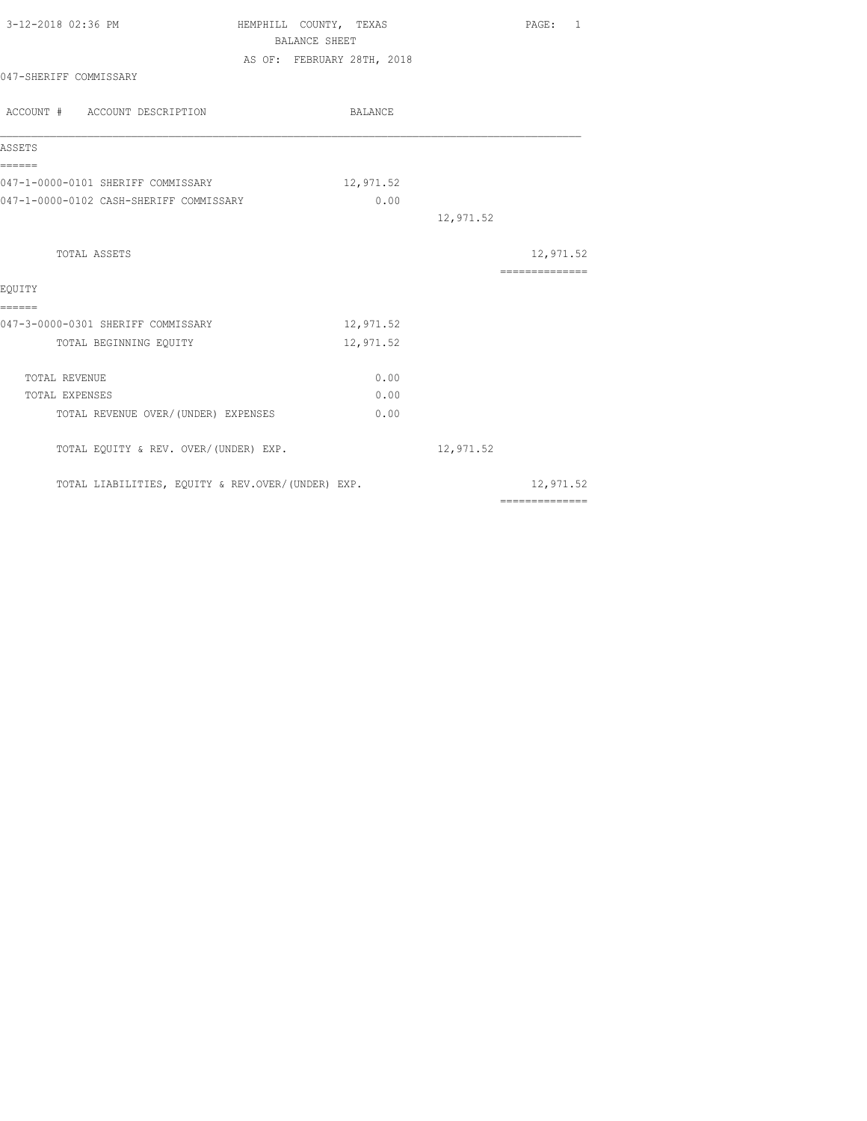| 3-12-2018 02:36 PM                                | HEMPHILL COUNTY, TEXAS     |           | PAGE: 1         |
|---------------------------------------------------|----------------------------|-----------|-----------------|
|                                                   | <b>BALANCE SHEET</b>       |           |                 |
|                                                   | AS OF: FEBRUARY 28TH, 2018 |           |                 |
| 047-SHERIFF COMMISSARY                            |                            |           |                 |
| ACCOUNT # ACCOUNT DESCRIPTION                     | BALANCE                    |           |                 |
| ASSETS                                            |                            |           |                 |
| ======<br>047-1-0000-0101 SHERIFF COMMISSARY      | 12,971.52                  |           |                 |
| 047-1-0000-0102 CASH-SHERIFF COMMISSARY           | 0.00                       |           |                 |
|                                                   |                            | 12,971.52 |                 |
| TOTAL ASSETS                                      |                            |           | 12,971.52       |
| EQUITY                                            |                            |           | --------------- |
| ======<br>047-3-0000-0301 SHERIFF COMMISSARY      | 12,971.52                  |           |                 |
| TOTAL BEGINNING EQUITY                            | 12,971.52                  |           |                 |
| TOTAL REVENUE                                     | 0.00                       |           |                 |
| TOTAL EXPENSES                                    | 0.00                       |           |                 |
| TOTAL REVENUE OVER/ (UNDER) EXPENSES              | 0.00                       |           |                 |
| TOTAL EQUITY & REV. OVER/(UNDER) EXP.             |                            | 12,971.52 |                 |
| TOTAL LIABILITIES, EQUITY & REV.OVER/(UNDER) EXP. |                            |           | 12,971.52       |
|                                                   |                            |           | ==============  |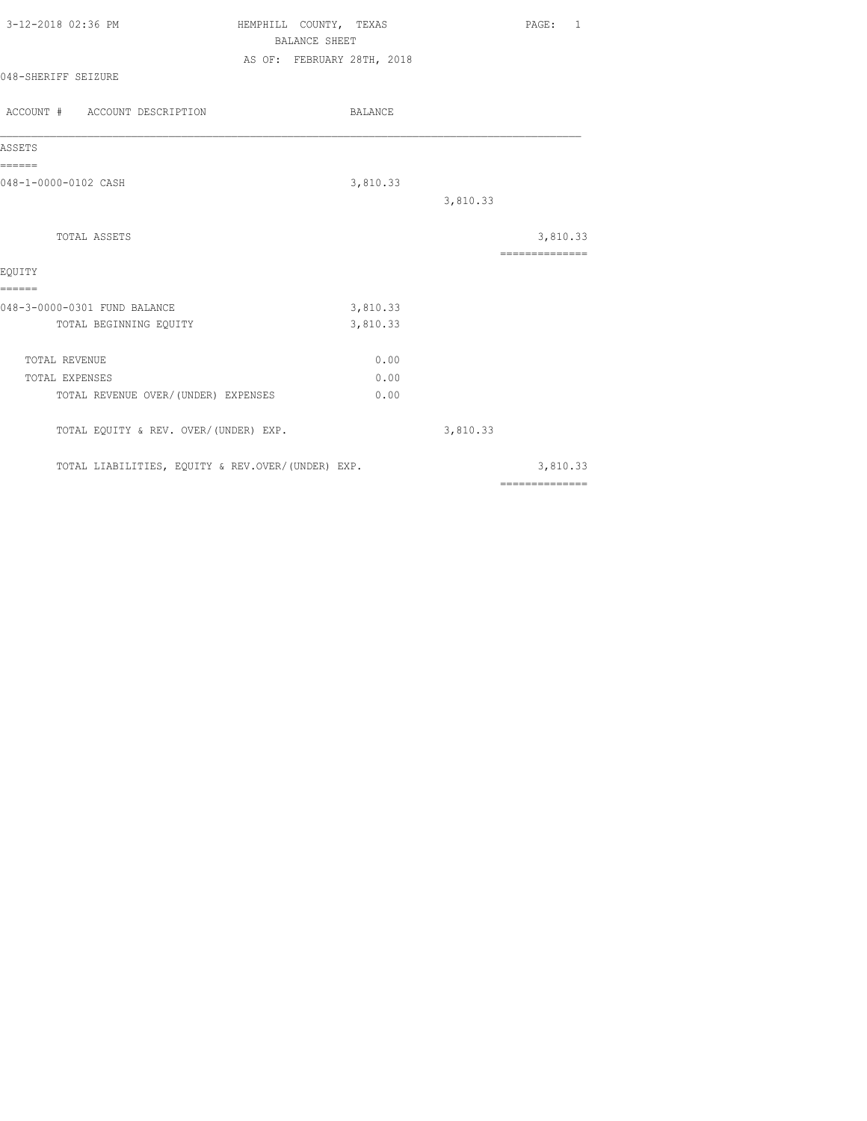| 3-12-2018 02:36 PM                                | HEMPHILL COUNTY, TEXAS     | PAGE: 1         |
|---------------------------------------------------|----------------------------|-----------------|
|                                                   | <b>BALANCE SHEET</b>       |                 |
|                                                   | AS OF: FEBRUARY 28TH, 2018 |                 |
| 048-SHERIFF SEIZURE                               |                            |                 |
| ACCOUNT # ACCOUNT DESCRIPTION                     | BALANCE                    |                 |
| ASSETS                                            |                            |                 |
| ======<br>048-1-0000-0102 CASH                    | 3,810.33                   |                 |
|                                                   | 3,810.33                   |                 |
| TOTAL ASSETS                                      |                            | 3,810.33        |
|                                                   |                            | --------------- |
| EQUITY<br>======                                  |                            |                 |
| 048-3-0000-0301 FUND BALANCE                      | 3,810.33                   |                 |
| TOTAL BEGINNING EQUITY                            | 3,810.33                   |                 |
| TOTAL REVENUE                                     | 0.00                       |                 |
| TOTAL EXPENSES                                    | 0.00                       |                 |
| TOTAL REVENUE OVER/ (UNDER) EXPENSES              | 0.00                       |                 |
| TOTAL EQUITY & REV. OVER/(UNDER) EXP.             | 3,810.33                   |                 |
| TOTAL LIABILITIES, EQUITY & REV.OVER/(UNDER) EXP. |                            | 3,810.33        |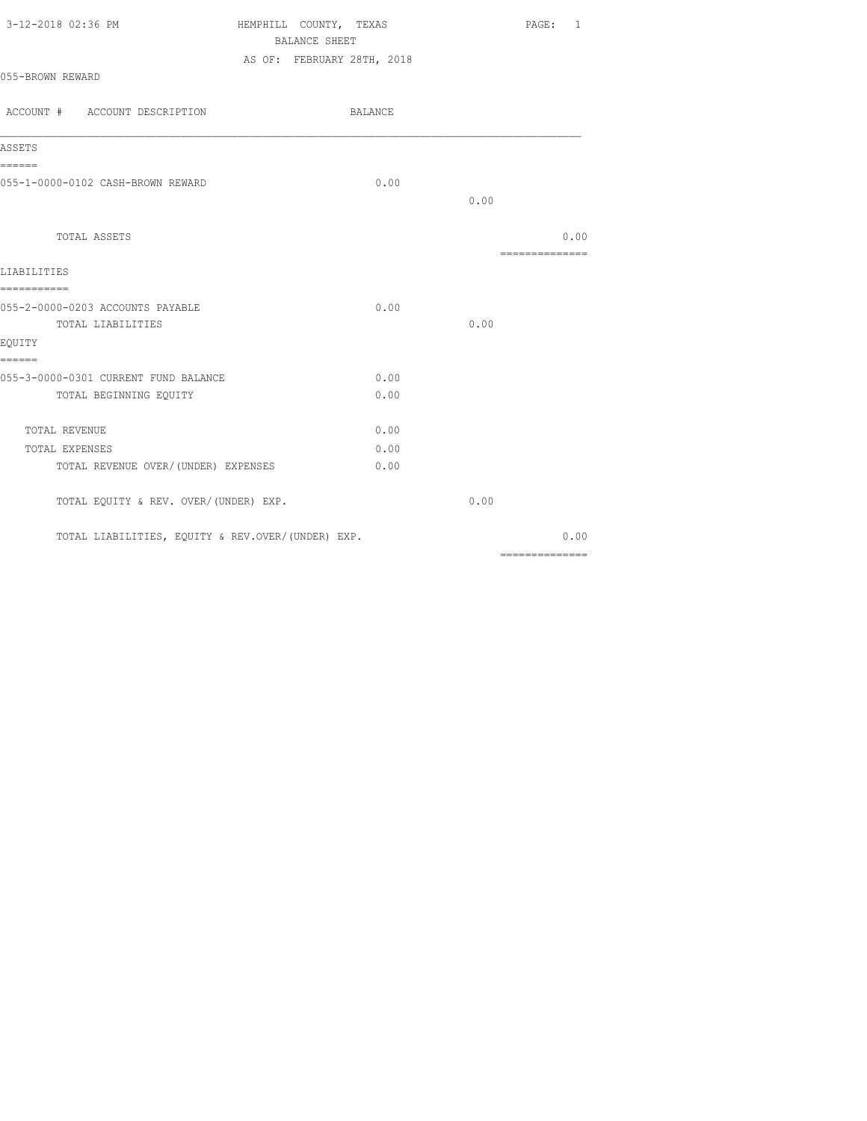| 3-12-2018 02:36 PM | HEMPHILL COUNTY, TEXAS     | PAGE: 1 |  |  |  |
|--------------------|----------------------------|---------|--|--|--|
| BALANCE SHEET      |                            |         |  |  |  |
|                    | AS OF: FEBRUARY 28TH, 2018 |         |  |  |  |

055-BROWN REWARD

ACCOUNT # ACCOUNT DESCRIPTION BALANCE  $\mathcal{L}_\mathcal{L} = \mathcal{L}_\mathcal{L}$ ASSETS ====== 055-1-0000-0102 CASH-BROWN REWARD 0.00 0.00 TOTAL ASSETS 0.00 ============== LIABILITIES =========== 055-2-0000-0203 ACCOUNTS PAYABLE 0.00 TOTAL LIABILITIES 0.00 EQUITY ====== 055-3-0000-0301 CURRENT FUND BALANCE 0.00 TOTAL BEGINNING EQUITY 0.00 TOTAL REVENUE 0.00 TOTAL EXPENSES 0.00 TOTAL REVENUE OVER/(UNDER) EXPENSES 0.00 TOTAL EQUITY & REV. OVER/(UNDER) EXP. 0.00 TOTAL LIABILITIES, EQUITY & REV.OVER/(UNDER) EXP. 0.00 ==============